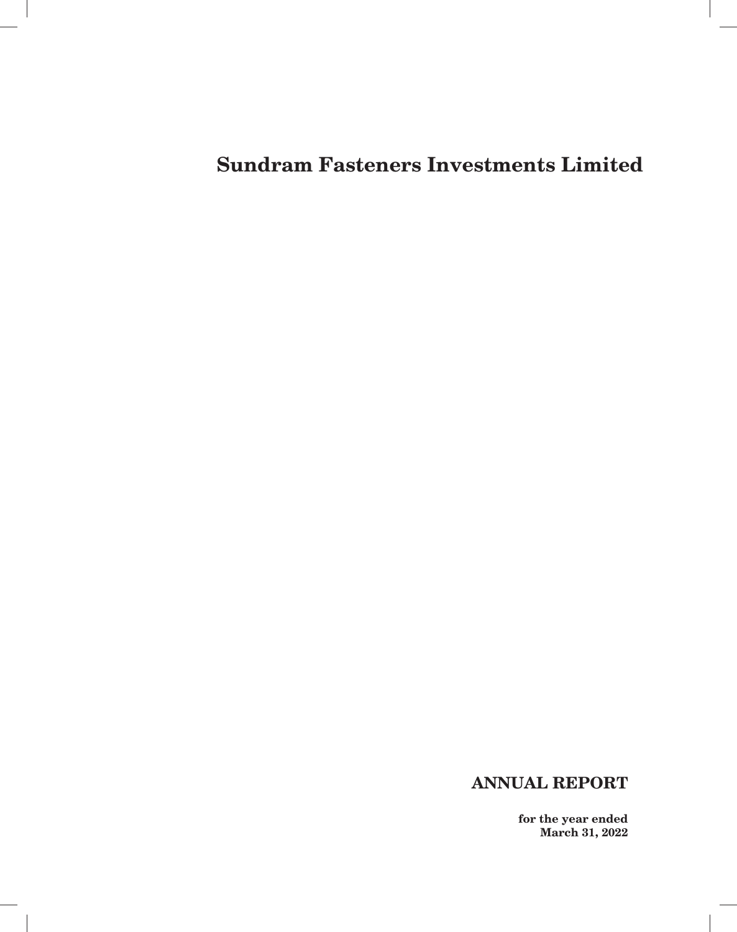# **ANNUAL REPORT**

 $\overline{\phantom{a}}$ 

**for the year ended March 31, 2022**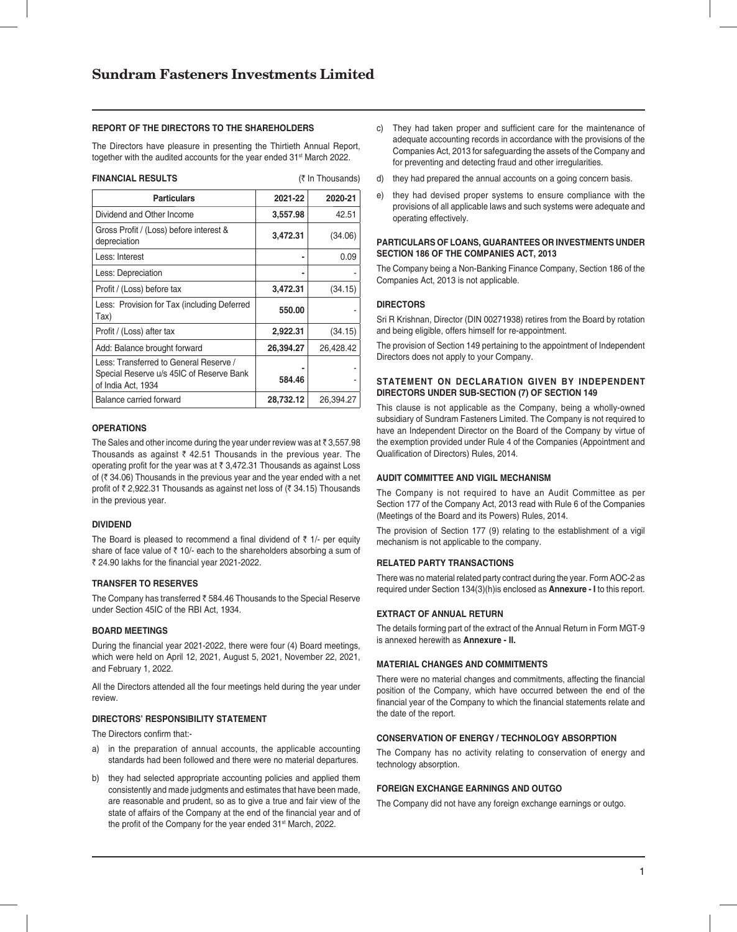### **REPORT OF THE DIRECTORS TO THE SHAREHOLDERS**

The Directors have pleasure in presenting the Thirtieth Annual Report, together with the audited accounts for the year ended 31<sup>st</sup> March 2022.

| <b>FINANCIAL RESULTS</b>                                                                                 |           | (₹ In Thousands) |
|----------------------------------------------------------------------------------------------------------|-----------|------------------|
| <b>Particulars</b>                                                                                       | 2021-22   | 2020-21          |
| Dividend and Other Income                                                                                | 3,557.98  | 42.51            |
| Gross Profit / (Loss) before interest &<br>depreciation                                                  | 3,472.31  | (34.06)          |
| Less: Interest                                                                                           |           | 0.09             |
| Less: Depreciation                                                                                       |           |                  |
| Profit / (Loss) before tax                                                                               | 3,472.31  | (34.15)          |
| Less: Provision for Tax (including Deferred<br>Tax)                                                      | 550.00    |                  |
| Profit / (Loss) after tax                                                                                | 2,922.31  | (34.15)          |
| Add: Balance brought forward                                                                             | 26,394.27 | 26,428.42        |
| Less: Transferred to General Reserve /<br>Special Reserve u/s 45IC of Reserve Bank<br>of India Act, 1934 | 584.46    |                  |
| Balance carried forward                                                                                  | 28,732.12 | 26,394.27        |

# **OPERATIONS**

The Sales and other income during the year under review was at  $\bar{z}$  3,557.98 Thousands as against  $\bar{\tau}$  42.51 Thousands in the previous year. The operating profit for the year was at  $\bar{t}$  3,472.31 Thousands as against Loss of ( $\bar{\tau}$  34.06) Thousands in the previous year and the year ended with a net profit of  $\bar{z}$  2,922.31 Thousands as against net loss of ( $\bar{z}$  34.15) Thousands in the previous year.

# **DIVIDEND**

The Board is pleased to recommend a final dividend of  $\bar{z}$  1/- per equity share of face value of  $\bar{x}$  10/- each to the shareholders absorbing a sum of  $\bar{\tau}$  24.90 lakhs for the financial year 2021-2022.

#### **TRANSFER TO RESERVES**

The Company has transferred  $\bar{\tau}$  584.46 Thousands to the Special Reserve under Section 45IC of the RBI Act, 1934.

### **BOARD MEETINGS**

During the financial year 2021-2022, there were four (4) Board meetings, which were held on April 12, 2021, August 5, 2021, November 22, 2021, and February 1, 2022.

All the Directors attended all the four meetings held during the year under review.

#### **DIRECTORS' RESPONSIBILITY STATEMENT**

The Directors confirm that:-

- a) in the preparation of annual accounts, the applicable accounting standards had been followed and there were no material departures.
- b) they had selected appropriate accounting policies and applied them consistently and made judgments and estimates that have been made, are reasonable and prudent, so as to give a true and fair view of the state of affairs of the Company at the end of the financial year and of the profit of the Company for the year ended 31<sup>st</sup> March, 2022.
- c) They had taken proper and sufficient care for the maintenance of adequate accounting records in accordance with the provisions of the Companies Act, 2013 for safeguarding the assets of the Company and for preventing and detecting fraud and other irregularities.
- d) they had prepared the annual accounts on a going concern basis.
- e) they had devised proper systems to ensure compliance with the provisions of all applicable laws and such systems were adequate and operating effectively.

#### **PARTICULARS OF LOANS, GUARANTEES OR INVESTMENTS UNDER SECTION 186 OF THE COMPANIES ACT, 2013**

The Company being a Non-Banking Finance Company, Section 186 of the Companies Act, 2013 is not applicable.

# **DIRECTORS**

Sri R Krishnan, Director (DIN 00271938) retires from the Board by rotation and being eligible, offers himself for re-appointment.

The provision of Section 149 pertaining to the appointment of Independent Directors does not apply to your Company.

### **STATEMENT ON DECLARATION GIVEN BY INDEPENDENT DIRECTORS UNDER SUB-SECTION (7) OF SECTION 149**

This clause is not applicable as the Company, being a wholly-owned subsidiary of Sundram Fasteners Limited. The Company is not required to have an Independent Director on the Board of the Company by virtue of the exemption provided under Rule 4 of the Companies (Appointment and Qualification of Directors) Rules, 2014.

#### **AUDIT COMMITTEE AND VIGIL MECHANISM**

The Company is not required to have an Audit Committee as per Section 177 of the Company Act, 2013 read with Rule 6 of the Companies (Meetings of the Board and its Powers) Rules, 2014.

The provision of Section 177 (9) relating to the establishment of a vigil mechanism is not applicable to the company.

#### **RELATED PARTY TRANSACTIONS**

There was no material related party contract during the year. Form AOC-2 as required under Section 134(3)(h)is enclosed as **Annexure - I** to this report.

#### **EXTRACT OF ANNUAL RETURN**

The details forming part of the extract of the Annual Return in Form MGT-9 is annexed herewith as **Annexure - II.**

# **MATERIAL CHANGES AND COMMITMENTS**

There were no material changes and commitments, affecting the financial position of the Company, which have occurred between the end of the financial year of the Company to which the financial statements relate and the date of the report.

# **CONSERVATION OF ENERGY / TECHNOLOGY ABSORPTION**

The Company has no activity relating to conservation of energy and technology absorption.

#### **FOREIGN EXCHANGE EARNINGS AND OUTGO**

The Company did not have any foreign exchange earnings or outgo.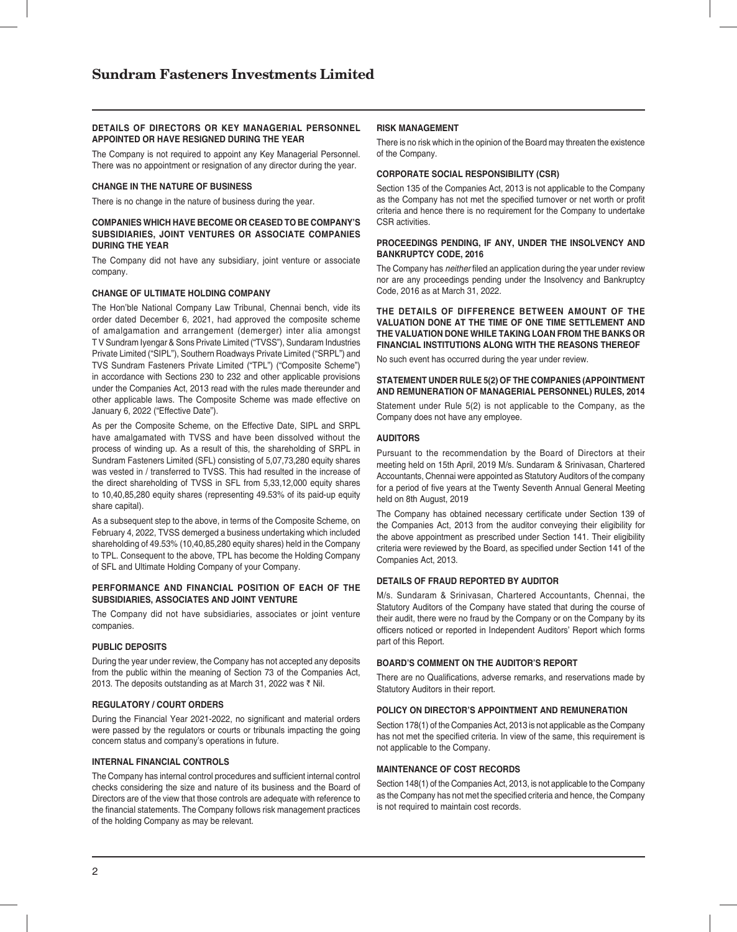#### **DETAILS OF DIRECTORS OR KEY MANAGERIAL PERSONNEL APPOINTED OR HAVE RESIGNED DURING THE YEAR**

The Company is not required to appoint any Key Managerial Personnel. There was no appointment or resignation of any director during the year.

### **CHANGE IN THE NATURE OF BUSINESS**

There is no change in the nature of business during the year.

#### **COMPANIES WHICH HAVE BECOME OR CEASED TO BE COMPANY'S SUBSIDIARIES, JOINT VENTURES OR ASSOCIATE COMPANIES DURING THE YEAR**

The Company did not have any subsidiary, joint venture or associate company.

#### **CHANGE OF ULTIMATE HOLDING COMPANY**

The Hon'ble National Company Law Tribunal, Chennai bench, vide its order dated December 6, 2021, had approved the composite scheme of amalgamation and arrangement (demerger) inter alia amongst T V Sundram Iyengar & Sons Private Limited ("TVSS"), Sundaram Industries Private Limited ("SIPL"), Southern Roadways Private Limited ("SRPL") and TVS Sundram Fasteners Private Limited ("TPL") ("Composite Scheme") in accordance with Sections 230 to 232 and other applicable provisions under the Companies Act, 2013 read with the rules made thereunder and other applicable laws. The Composite Scheme was made effective on January 6, 2022 ("Effective Date").

As per the Composite Scheme, on the Effective Date, SIPL and SRPL have amalgamated with TVSS and have been dissolved without the process of winding up. As a result of this, the shareholding of SRPL in Sundram Fasteners Limited (SFL) consisting of 5,07,73,280 equity shares was vested in / transferred to TVSS. This had resulted in the increase of the direct shareholding of TVSS in SFL from 5,33,12,000 equity shares to 10,40,85,280 equity shares (representing 49.53% of its paid-up equity share capital).

As a subsequent step to the above, in terms of the Composite Scheme, on February 4, 2022, TVSS demerged a business undertaking which included shareholding of 49.53% (10,40,85,280 equity shares) held in the Company to TPL. Consequent to the above, TPL has become the Holding Company of SFL and Ultimate Holding Company of your Company.

#### **PERFORMANCE AND FINANCIAL POSITION OF EACH OF THE SUBSIDIARIES, ASSOCIATES AND JOINT VENTURE**

The Company did not have subsidiaries, associates or joint venture companies.

#### **PUBLIC DEPOSITS**

During the year under review, the Company has not accepted any deposits from the public within the meaning of Section 73 of the Companies Act, 2013. The deposits outstanding as at March 31, 2022 was  $\bar{\tau}$  Nil.

#### **REGULATORY / COURT ORDERS**

During the Financial Year 2021-2022, no significant and material orders were passed by the regulators or courts or tribunals impacting the going concern status and company's operations in future.

### **INTERNAL FINANCIAL CONTROLS**

The Company has internal control procedures and sufficient internal control checks considering the size and nature of its business and the Board of Directors are of the view that those controls are adequate with reference to the financial statements. The Company follows risk management practices of the holding Company as may be relevant.

# **RISK MANAGEMENT**

There is no risk which in the opinion of the Board may threaten the existence of the Company.

#### **CORPORATE SOCIAL RESPONSIBILITY (CSR)**

Section 135 of the Companies Act, 2013 is not applicable to the Company as the Company has not met the specified turnover or net worth or profit criteria and hence there is no requirement for the Company to undertake CSR activities.

#### **PROCEEDINGS PENDING, IF ANY, UNDER THE INSOLVENCY AND BANKRUPTCY CODE, 2016**

The Company has *neither* filed an application during the year under review nor are any proceedings pending under the Insolvency and Bankruptcy Code, 2016 as at March 31, 2022.

**THE DETAILS OF DIFFERENCE BETWEEN AMOUNT OF THE VALUATION DONE AT THE TIME OF ONE TIME SETTLEMENT AND THE VALUATION DONE WHILE TAKING LOAN FROM THE BANKS OR FINANCIAL INSTITUTIONS ALONG WITH THE REASONS THEREOF**

No such event has occurred during the year under review.

#### **STATEMENT UNDER RULE 5(2) OF THE COMPANIES (APPOINTMENT AND REMUNERATION OF MANAGERIAL PERSONNEL) RULES, 2014**

Statement under Rule 5(2) is not applicable to the Company, as the Company does not have any employee.

#### **AUDITORS**

Pursuant to the recommendation by the Board of Directors at their meeting held on 15th April, 2019 M/s. Sundaram & Srinivasan, Chartered Accountants, Chennai were appointed as Statutory Auditors of the company for a period of five years at the Twenty Seventh Annual General Meeting held on 8th August, 2019

The Company has obtained necessary certificate under Section 139 of the Companies Act, 2013 from the auditor conveying their eligibility for the above appointment as prescribed under Section 141. Their eligibility criteria were reviewed by the Board, as specified under Section 141 of the Companies Act, 2013.

#### **DETAILS OF FRAUD REPORTED BY AUDITOR**

M/s. Sundaram & Srinivasan, Chartered Accountants, Chennai, the Statutory Auditors of the Company have stated that during the course of their audit, there were no fraud by the Company or on the Company by its officers noticed or reported in Independent Auditors' Report which forms part of this Report.

#### **BOARD'S COMMENT ON THE AUDITOR'S REPORT**

There are no Qualifications, adverse remarks, and reservations made by Statutory Auditors in their report.

#### **POLICY ON DIRECTOR'S APPOINTMENT AND REMUNERATION**

Section 178(1) of the Companies Act, 2013 is not applicable as the Company has not met the specified criteria. In view of the same, this requirement is not applicable to the Company.

# **MAINTENANCE OF COST RECORDS**

Section 148(1) of the Companies Act, 2013, is not applicable to the Company as the Company has not met the specified criteria and hence, the Company is not required to maintain cost records.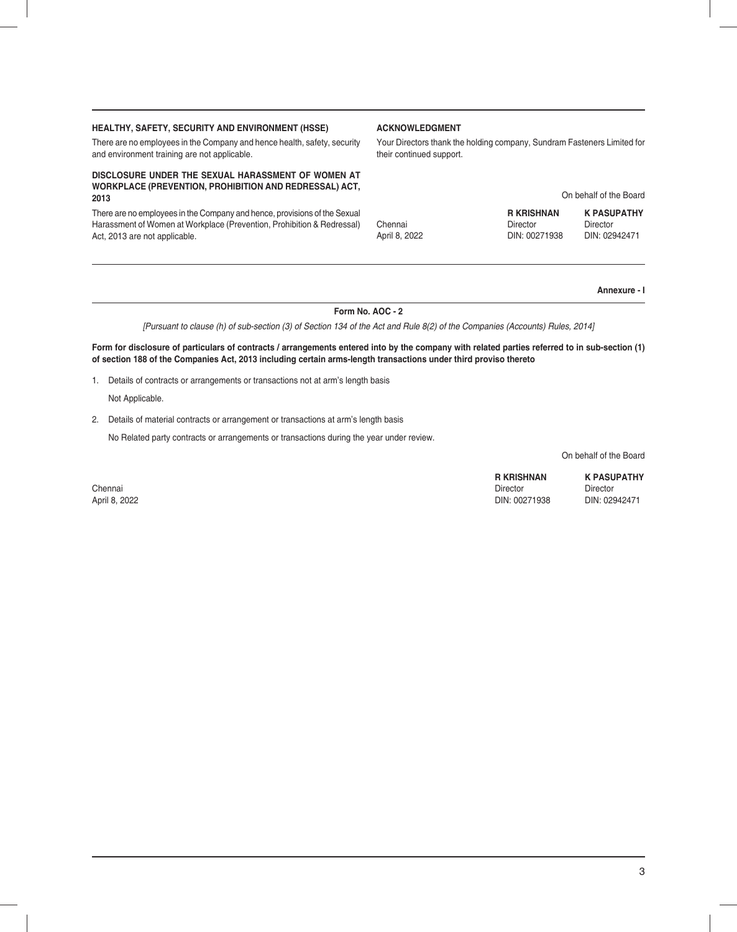# **HEALTHY, SAFETY, SECURITY AND ENVIRONMENT (HSSE)**

There are no employees in the Company and hence health, safety, security and environment training are not applicable.

# **DISCLOSURE UNDER THE SEXUAL HARASSMENT OF WOMEN AT WORKPLACE (PREVENTION, PROHIBITION AND REDRESSAL) ACT, 2013**

There are no employees in the Company and hence, provisions of the Sexual Harassment of Women at Workplace (Prevention, Prohibition & Redressal) Act, 2013 are not applicable.

# **ACKNOWLEDGMENT**

Your Directors thank the holding company, Sundram Fasteners Limited for their continued support.

On behalf of the Board

**R KRISHNAN K PASUPATHY** Chennai Director Director Director April 8, 2022 DIN: 00271938 DIN: 02942471

#### **Annexure - I**

**Form No. AOC - 2**

*[Pursuant to clause (h) of sub-section (3) of Section 134 of the Act and Rule 8(2) of the Companies (Accounts) Rules, 2014]*

**Form for disclosure of particulars of contracts / arrangements entered into by the company with related parties referred to in sub-section (1) of section 188 of the Companies Act, 2013 including certain arms-length transactions under third proviso thereto**

1. Details of contracts or arrangements or transactions not at arm's length basis

Not Applicable.

2. Details of material contracts or arrangement or transactions at arm's length basis

No Related party contracts or arrangements or transactions during the year under review.

On behalf of the Board

**R KRISHNAN K PASUPATHY** Chennai Director Director April 8, 2022 DIN: 00271938 DIN: 02942471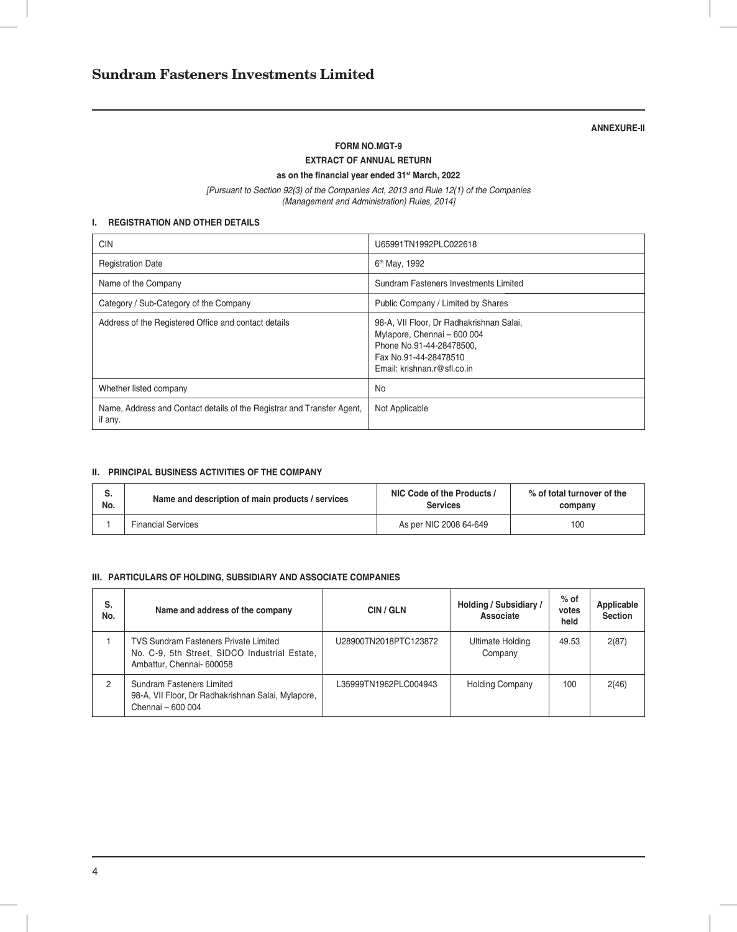# **ANNEXURE-II**

#### **FORM NO.MGT-9**

# **EXTRACT OF ANNUAL RETURN**

# as on the financial year ended 31<sup>st</sup> March, 2022

*[Pursuant to Section 92(3) of the Companies Act, 2013 and Rule 12(1) of the Companies (Management and Administration) Rules, 2014]*

# **I. REGISTRATION AND OTHER DETAILS**

| <b>CIN</b>                                                                        | U65991TN1992PLC022618                                                                                                                                       |
|-----------------------------------------------------------------------------------|-------------------------------------------------------------------------------------------------------------------------------------------------------------|
| <b>Registration Date</b>                                                          | 6 <sup>th</sup> May, 1992                                                                                                                                   |
| Name of the Company                                                               | Sundram Fasteners Investments Limited                                                                                                                       |
| Category / Sub-Category of the Company                                            | Public Company / Limited by Shares                                                                                                                          |
| Address of the Registered Office and contact details                              | 98-A, VII Floor, Dr Radhakrishnan Salai,<br>Mylapore, Chennai - 600 004<br>Phone No.91-44-28478500,<br>Fax No.91-44-28478510<br>Email: krishnan.r@sfl.co.in |
| Whether listed company                                                            | No                                                                                                                                                          |
| Name, Address and Contact details of the Registrar and Transfer Agent,<br>if any. | Not Applicable                                                                                                                                              |

#### **II. PRINCIPAL BUSINESS ACTIVITIES OF THE COMPANY**

| o.  | Name and description of main products / services | NIC Code of the Products / | % of total turnover of the |  |
|-----|--------------------------------------------------|----------------------------|----------------------------|--|
| No. |                                                  | <b>Services</b>            | company                    |  |
|     | <b>Financial Services</b>                        | As per NIC 2008 64-649     | 100                        |  |

# **III. PARTICULARS OF HOLDING, SUBSIDIARY AND ASSOCIATE COMPANIES**

| S.<br>No. | Name and address of the company                                                                                           | CIN/GLN               | Holding / Subsidiary /<br>Associate | $%$ of<br>votes<br>held | Applicable<br><b>Section</b> |
|-----------|---------------------------------------------------------------------------------------------------------------------------|-----------------------|-------------------------------------|-------------------------|------------------------------|
|           | <b>TVS Sundram Fasteners Private Limited</b><br>No. C-9, 5th Street, SIDCO Industrial Estate,<br>Ambattur, Chennai-600058 | U28900TN2018PTC123872 | Ultimate Holding<br>Company         | 49.53                   | 2(87)                        |
|           | Sundram Fasteners Limited<br>98-A, VII Floor, Dr Radhakrishnan Salai, Mylapore,<br>Chennai - 600 004                      | L35999TN1962PLC004943 | <b>Holding Company</b>              | 100                     | 2(46)                        |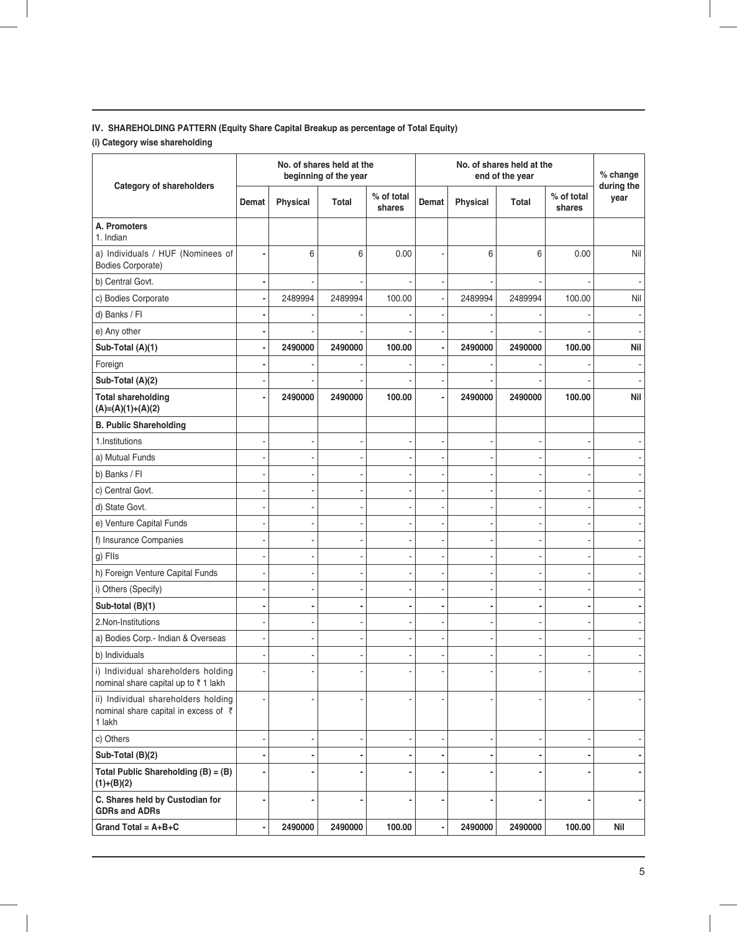# **IV. SHAREHOLDING PATTERN (Equity Share Capital Breakup as percentage of Total Equity)**

**(i) Category wise shareholding**

| <b>Category of shareholders</b>                                                       | No. of shares held at the<br>beginning of the year |          |                          |                      | No. of shares held at the<br>end of the year |                          |         |                      | % change<br>during the |  |
|---------------------------------------------------------------------------------------|----------------------------------------------------|----------|--------------------------|----------------------|----------------------------------------------|--------------------------|---------|----------------------|------------------------|--|
|                                                                                       | Demat                                              | Physical | Total                    | % of total<br>shares | Demat                                        | Physical<br><b>Total</b> |         | % of total<br>shares | year                   |  |
| A. Promoters<br>1. Indian                                                             |                                                    |          |                          |                      |                                              |                          |         |                      |                        |  |
| a) Individuals / HUF (Nominees of<br><b>Bodies Corporate)</b>                         |                                                    | 6        | 6                        | 0.00                 |                                              | 6                        | 6       | 0.00                 | Nil                    |  |
| b) Central Govt.                                                                      |                                                    |          |                          |                      |                                              |                          |         |                      |                        |  |
| c) Bodies Corporate                                                                   |                                                    | 2489994  | 2489994                  | 100.00               |                                              | 2489994                  | 2489994 | 100.00               | Nil                    |  |
| d) Banks / Fl                                                                         |                                                    |          |                          |                      |                                              |                          |         |                      |                        |  |
| e) Any other                                                                          |                                                    |          |                          |                      |                                              |                          |         |                      |                        |  |
| Sub-Total (A)(1)                                                                      |                                                    | 2490000  | 2490000                  | 100.00               | $\blacksquare$                               | 2490000                  | 2490000 | 100.00               | Nil                    |  |
| Foreign                                                                               |                                                    |          |                          |                      |                                              |                          |         |                      |                        |  |
| Sub-Total (A)(2)                                                                      |                                                    |          |                          |                      |                                              |                          |         |                      |                        |  |
| <b>Total shareholding</b><br>$(A)=(A)(1)+(A)(2)$                                      |                                                    | 2490000  | 2490000                  | 100.00               |                                              | 2490000                  | 2490000 | 100.00               | <b>Nil</b>             |  |
| <b>B. Public Shareholding</b>                                                         |                                                    |          |                          |                      |                                              |                          |         |                      |                        |  |
| 1. Institutions                                                                       |                                                    |          |                          |                      |                                              |                          |         |                      |                        |  |
| a) Mutual Funds                                                                       |                                                    |          |                          |                      |                                              |                          |         |                      |                        |  |
| b) Banks / Fl                                                                         |                                                    |          | $\overline{a}$           |                      |                                              |                          |         |                      |                        |  |
| c) Central Govt.                                                                      |                                                    |          | $\overline{a}$           |                      |                                              |                          |         |                      |                        |  |
| d) State Govt.                                                                        |                                                    |          |                          |                      |                                              |                          |         |                      |                        |  |
| e) Venture Capital Funds                                                              |                                                    |          | ÷.                       |                      |                                              |                          |         |                      |                        |  |
| f) Insurance Companies                                                                |                                                    |          | ÷,                       |                      |                                              |                          |         |                      |                        |  |
| g) Flls                                                                               |                                                    |          | $\overline{\phantom{a}}$ |                      |                                              |                          |         |                      |                        |  |
| h) Foreign Venture Capital Funds                                                      |                                                    |          |                          |                      |                                              |                          |         |                      |                        |  |
| i) Others (Specify)                                                                   |                                                    |          |                          |                      |                                              |                          |         |                      |                        |  |
| Sub-total (B)(1)                                                                      |                                                    |          | $\blacksquare$           |                      | $\blacksquare$                               |                          |         |                      |                        |  |
| 2.Non-Institutions                                                                    |                                                    |          |                          |                      |                                              |                          |         |                      |                        |  |
| a) Bodies Corp.- Indian & Overseas                                                    |                                                    |          |                          |                      |                                              |                          |         |                      |                        |  |
| b) Individuals                                                                        |                                                    |          |                          |                      |                                              |                          |         |                      |                        |  |
| i) Individual shareholders holding<br>nominal share capital up to ₹1 lakh             | $\overline{\phantom{a}}$                           |          |                          |                      |                                              |                          |         |                      |                        |  |
| ii) Individual shareholders holding<br>nominal share capital in excess of ₹<br>1 lakh |                                                    |          |                          |                      |                                              |                          |         |                      |                        |  |
| c) Others                                                                             |                                                    |          | ÷                        |                      |                                              |                          |         |                      |                        |  |
| Sub-Total (B)(2)                                                                      |                                                    |          |                          |                      |                                              |                          |         |                      |                        |  |
| Total Public Shareholding $(B) = (B)$<br>$(1)+(B)(2)$                                 |                                                    |          |                          |                      |                                              |                          |         |                      |                        |  |
| C. Shares held by Custodian for<br><b>GDRs and ADRs</b>                               |                                                    |          |                          |                      |                                              |                          |         |                      |                        |  |
| Grand Total = $A + B + C$                                                             |                                                    | 2490000  | 2490000                  | 100.00               |                                              | 2490000                  | 2490000 | 100.00               | Nil                    |  |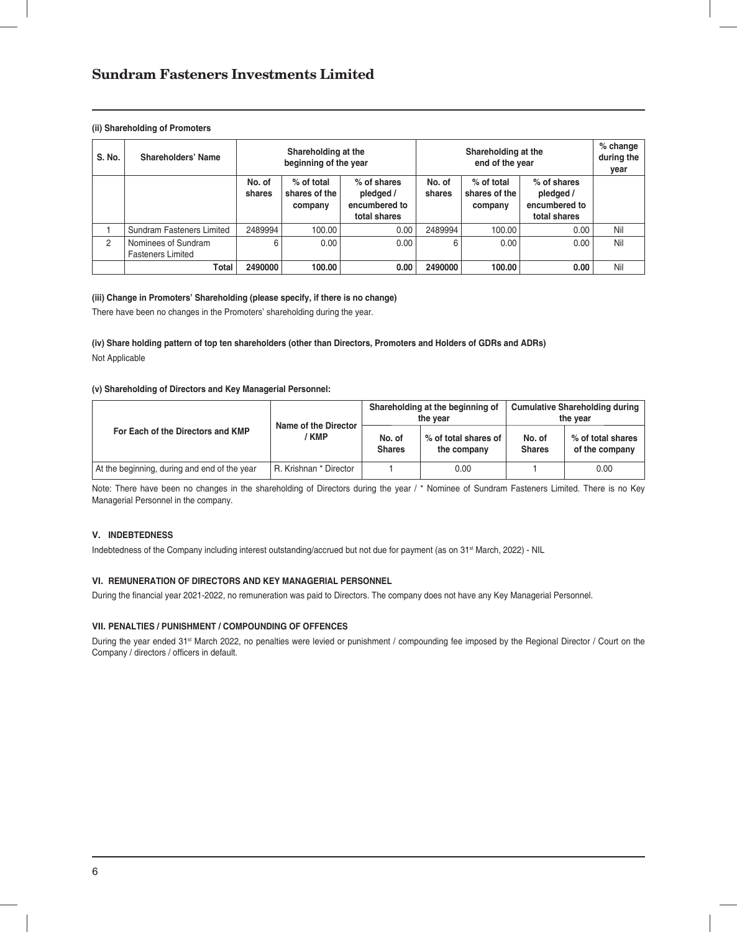### **(ii) Shareholding of Promoters**

| <b>S. No.</b> | Shareholders' Name                              | Shareholding at the<br>beginning of the year |                                          |                                                           |                  | $%$ change<br>during the<br>year       |                                                           |     |
|---------------|-------------------------------------------------|----------------------------------------------|------------------------------------------|-----------------------------------------------------------|------------------|----------------------------------------|-----------------------------------------------------------|-----|
|               |                                                 | No. of<br>shares                             | $%$ of total<br>shares of the<br>company | % of shares<br>pledged /<br>encumbered to<br>total shares | No. of<br>shares | % of total<br>shares of the<br>company | % of shares<br>pledged /<br>encumbered to<br>total shares |     |
|               | Sundram Fasteners Limited                       | 2489994                                      | 100.00                                   | 0.00                                                      | 2489994          | 100.00                                 | 0.00                                                      | Nil |
| 2             | Nominees of Sundram<br><b>Fasteners Limited</b> | 6                                            | 0.00                                     | 0.00                                                      | 6                | 0.00                                   | 0.00                                                      | Nil |
|               | Total                                           | 2490000                                      | 100.00                                   | 0.00                                                      | 2490000          | 100.00                                 | 0.00                                                      | Nil |

# **(iii) Change in Promoters' Shareholding (please specify, if there is no change)**

There have been no changes in the Promoters' shareholding during the year.

# **(iv) Share holding pattern of top ten shareholders (other than Directors, Promoters and Holders of GDRs and ADRs)**

Not Applicable

# **(v) Shareholding of Directors and Key Managerial Personnel:**

|                                              | Name of the Director   |                         | Shareholding at the beginning of<br>the year | Cumulative Shareholding during<br>the year |                                     |  |
|----------------------------------------------|------------------------|-------------------------|----------------------------------------------|--------------------------------------------|-------------------------------------|--|
| For Each of the Directors and KMP            | 'KMP                   | No. of<br><b>Shares</b> | % of total shares of<br>the company          | No. of<br><b>Shares</b>                    | % of total shares<br>of the company |  |
| At the beginning, during and end of the year | R. Krishnan * Director |                         | 0.00                                         |                                            | 0.00                                |  |

Note: There have been no changes in the shareholding of Directors during the year / \* Nominee of Sundram Fasteners Limited. There is no Key Managerial Personnel in the company.

# **V. INDEBTEDNESS**

Indebtedness of the Company including interest outstanding/accrued but not due for payment (as on 31<sup>st</sup> March, 2022) - NIL

# **VI. REMUNERATION OF DIRECTORS AND KEY MANAGERIAL PERSONNEL**

During the financial year 2021-2022, no remuneration was paid to Directors. The company does not have any Key Managerial Personnel.

# **VII. PENALTIES / PUNISHMENT / COMPOUNDING OF OFFENCES**

During the year ended 31<sup>st</sup> March 2022, no penalties were levied or punishment / compounding fee imposed by the Regional Director / Court on the Company / directors / officers in default.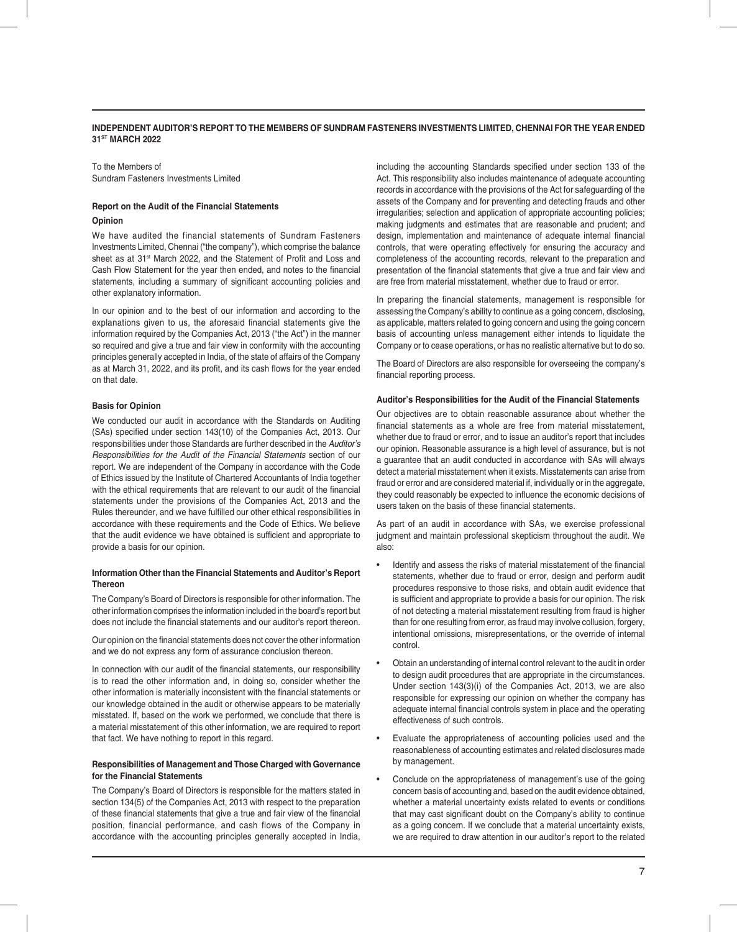#### **INDEPENDENT AUDITOR'S REPORT TO THE MEMBERS OF SUNDRAM FASTENERS INVESTMENTS LIMITED, CHENNAI FOR THE YEAR ENDED 31ST MARCH 2022**

To the Members of Sundram Fasteners Investments Limited

#### **Report on the Audit of the Financial Statements**

#### **Opinion**

We have audited the financial statements of Sundram Fasteners Investments Limited, Chennai ("the company"), which comprise the balance sheet as at 31<sup>st</sup> March 2022, and the Statement of Profit and Loss and Cash Flow Statement for the year then ended, and notes to the financial statements, including a summary of significant accounting policies and other explanatory information.

In our opinion and to the best of our information and according to the explanations given to us, the aforesaid financial statements give the information required by the Companies Act, 2013 ("the Act") in the manner so required and give a true and fair view in conformity with the accounting principles generally accepted in India, of the state of affairs of the Company as at March 31, 2022, and its profit, and its cash flows for the year ended on that date.

#### **Basis for Opinion**

We conducted our audit in accordance with the Standards on Auditing (SAs) specified under section 143(10) of the Companies Act, 2013. Our responsibilities under those Standards are further described in the *Auditor's Responsibilities for the Audit of the Financial Statements* section of our report. We are independent of the Company in accordance with the Code of Ethics issued by the Institute of Chartered Accountants of India together with the ethical requirements that are relevant to our audit of the financial statements under the provisions of the Companies Act, 2013 and the Rules thereunder, and we have fulfilled our other ethical responsibilities in accordance with these requirements and the Code of Ethics. We believe that the audit evidence we have obtained is sufficient and appropriate to provide a basis for our opinion.

#### **Information Other than the Financial Statements and Auditor's Report Thereon**

The Company's Board of Directors is responsible for other information. The other information comprises the information included in the board's report but does not include the financial statements and our auditor's report thereon.

Our opinion on the financial statements does not cover the other information and we do not express any form of assurance conclusion thereon.

In connection with our audit of the financial statements, our responsibility is to read the other information and, in doing so, consider whether the other information is materially inconsistent with the financial statements or our knowledge obtained in the audit or otherwise appears to be materially misstated. If, based on the work we performed, we conclude that there is a material misstatement of this other information, we are required to report that fact. We have nothing to report in this regard.

#### **Responsibilities of Management and Those Charged with Governance for the Financial Statements**

The Company's Board of Directors is responsible for the matters stated in section 134(5) of the Companies Act, 2013 with respect to the preparation of these financial statements that give a true and fair view of the financial position, financial performance, and cash flows of the Company in accordance with the accounting principles generally accepted in India,

including the accounting Standards specified under section 133 of the Act. This responsibility also includes maintenance of adequate accounting records in accordance with the provisions of the Act for safeguarding of the assets of the Company and for preventing and detecting frauds and other irregularities; selection and application of appropriate accounting policies; making judgments and estimates that are reasonable and prudent; and design, implementation and maintenance of adequate internal financial controls, that were operating effectively for ensuring the accuracy and completeness of the accounting records, relevant to the preparation and presentation of the financial statements that give a true and fair view and are free from material misstatement, whether due to fraud or error.

In preparing the financial statements, management is responsible for assessing the Company's ability to continue as a going concern, disclosing, as applicable, matters related to going concern and using the going concern basis of accounting unless management either intends to liquidate the Company or to cease operations, or has no realistic alternative but to do so.

The Board of Directors are also responsible for overseeing the company's financial reporting process.

#### **Auditor's Responsibilities for the Audit of the Financial Statements**

Our objectives are to obtain reasonable assurance about whether the financial statements as a whole are free from material misstatement, whether due to fraud or error, and to issue an auditor's report that includes our opinion. Reasonable assurance is a high level of assurance, but is not a guarantee that an audit conducted in accordance with SAs will always detect a material misstatement when it exists. Misstatements can arise from fraud or error and are considered material if, individually or in the aggregate, they could reasonably be expected to influence the economic decisions of users taken on the basis of these financial statements.

As part of an audit in accordance with SAs, we exercise professional judgment and maintain professional skepticism throughout the audit. We also:

- Identify and assess the risks of material misstatement of the financial statements, whether due to fraud or error, design and perform audit procedures responsive to those risks, and obtain audit evidence that is sufficient and appropriate to provide a basis for our opinion. The risk of not detecting a material misstatement resulting from fraud is higher than for one resulting from error, as fraud may involve collusion, forgery, intentional omissions, misrepresentations, or the override of internal control.
- Obtain an understanding of internal control relevant to the audit in order to design audit procedures that are appropriate in the circumstances. Under section 143(3)(i) of the Companies Act, 2013, we are also responsible for expressing our opinion on whether the company has adequate internal financial controls system in place and the operating effectiveness of such controls.
- Evaluate the appropriateness of accounting policies used and the reasonableness of accounting estimates and related disclosures made by management.
- Conclude on the appropriateness of management's use of the going concern basis of accounting and, based on the audit evidence obtained, whether a material uncertainty exists related to events or conditions that may cast significant doubt on the Company's ability to continue as a going concern. If we conclude that a material uncertainty exists, we are required to draw attention in our auditor's report to the related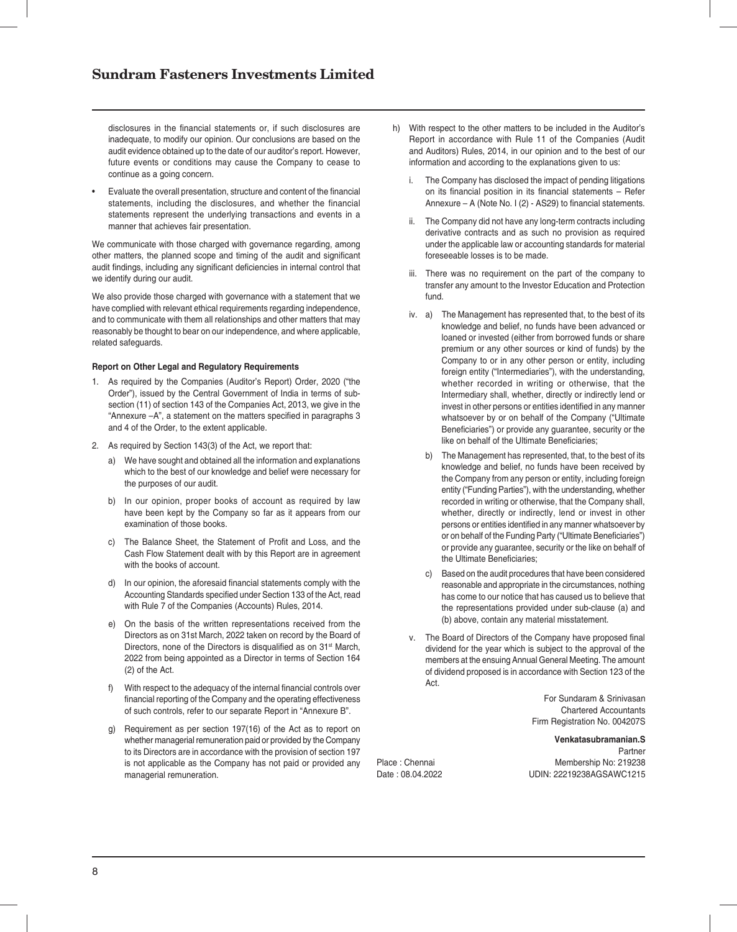disclosures in the financial statements or, if such disclosures are inadequate, to modify our opinion. Our conclusions are based on the audit evidence obtained up to the date of our auditor's report. However, future events or conditions may cause the Company to cease to continue as a going concern.

Evaluate the overall presentation, structure and content of the financial statements, including the disclosures, and whether the financial statements represent the underlying transactions and events in a manner that achieves fair presentation.

We communicate with those charged with governance regarding, among other matters, the planned scope and timing of the audit and significant audit findings, including any significant deficiencies in internal control that we identify during our audit.

We also provide those charged with governance with a statement that we have complied with relevant ethical requirements regarding independence, and to communicate with them all relationships and other matters that may reasonably be thought to bear on our independence, and where applicable, related safeguards.

# **Report on Other Legal and Regulatory Requirements**

- 1. As required by the Companies (Auditor's Report) Order, 2020 ("the Order"), issued by the Central Government of India in terms of subsection (11) of section 143 of the Companies Act, 2013, we give in the "Annexure -A", a statement on the matters specified in paragraphs 3 and 4 of the Order, to the extent applicable.
- 2. As required by Section 143(3) of the Act, we report that:
	- a) We have sought and obtained all the information and explanations which to the best of our knowledge and belief were necessary for the purposes of our audit.
	- b) In our opinion, proper books of account as required by law have been kept by the Company so far as it appears from our examination of those books.
	- c) The Balance Sheet, the Statement of Profit and Loss, and the Cash Flow Statement dealt with by this Report are in agreement with the books of account.
	- d) In our opinion, the aforesaid financial statements comply with the Accounting Standards specified under Section 133 of the Act, read with Rule 7 of the Companies (Accounts) Rules, 2014.
	- e) On the basis of the written representations received from the Directors as on 31st March, 2022 taken on record by the Board of Directors, none of the Directors is disqualified as on 31<sup>st</sup> March, 2022 from being appointed as a Director in terms of Section 164 (2) of the Act.
	- f) With respect to the adequacy of the internal financial controls over financial reporting of the Company and the operating effectiveness of such controls, refer to our separate Report in "Annexure B".
	- g) Requirement as per section 197(16) of the Act as to report on whether managerial remuneration paid or provided by the Company to its Directors are in accordance with the provision of section 197 is not applicable as the Company has not paid or provided any managerial remuneration.
- h) With respect to the other matters to be included in the Auditor's Report in accordance with Rule 11 of the Companies (Audit and Auditors) Rules, 2014, in our opinion and to the best of our information and according to the explanations given to us:
	- i. The Company has disclosed the impact of pending litigations on its financial position in its financial statements - Refer Annexure – A (Note No.  $I$  (2) - AS29) to financial statements.
	- ii. The Company did not have any long-term contracts including derivative contracts and as such no provision as required under the applicable law or accounting standards for material foreseeable losses is to be made.
	- iii. There was no requirement on the part of the company to transfer any amount to the Investor Education and Protection fund.
	- iv. a) The Management has represented that, to the best of its knowledge and belief, no funds have been advanced or loaned or invested (either from borrowed funds or share premium or any other sources or kind of funds) by the Company to or in any other person or entity, including foreign entity ("Intermediaries"), with the understanding, whether recorded in writing or otherwise, that the Intermediary shall, whether, directly or indirectly lend or invest in other persons or entities identified in any manner whatsoever by or on behalf of the Company ("Ultimate Beneficiaries") or provide any quarantee, security or the like on behalf of the Ultimate Beneficiaries;
		- The Management has represented, that, to the best of its knowledge and belief, no funds have been received by the Company from any person or entity, including foreign entity ("Funding Parties"), with the understanding, whether recorded in writing or otherwise, that the Company shall, whether, directly or indirectly, lend or invest in other persons or entities identified in any manner whatsoever by or on behalf of the Funding Party ("Ultimate Beneficiaries") or provide any guarantee, security or the like on behalf of the Ultimate Beneficiaries:
		- Based on the audit procedures that have been considered reasonable and appropriate in the circumstances, nothing has come to our notice that has caused us to believe that the representations provided under sub-clause (a) and (b) above, contain any material misstatement.
	- v. The Board of Directors of the Company have proposed final dividend for the year which is subject to the approval of the members at the ensuing Annual General Meeting. The amount of dividend proposed is in accordance with Section 123 of the Act.

For Sundaram & Srinivasan Chartered Accountants Firm Registration No. 004207S

**Venkatasubramanian.S Partner** Partner and the contract of the contract of the contract of the contract of the contract of the contract of the contract of the contract of the contract of the contract of the contract of the contract of the cont Place : Chennai Membership No: 219238 Date : 08.04.2022 UDIN: 22219238AGSAWC1215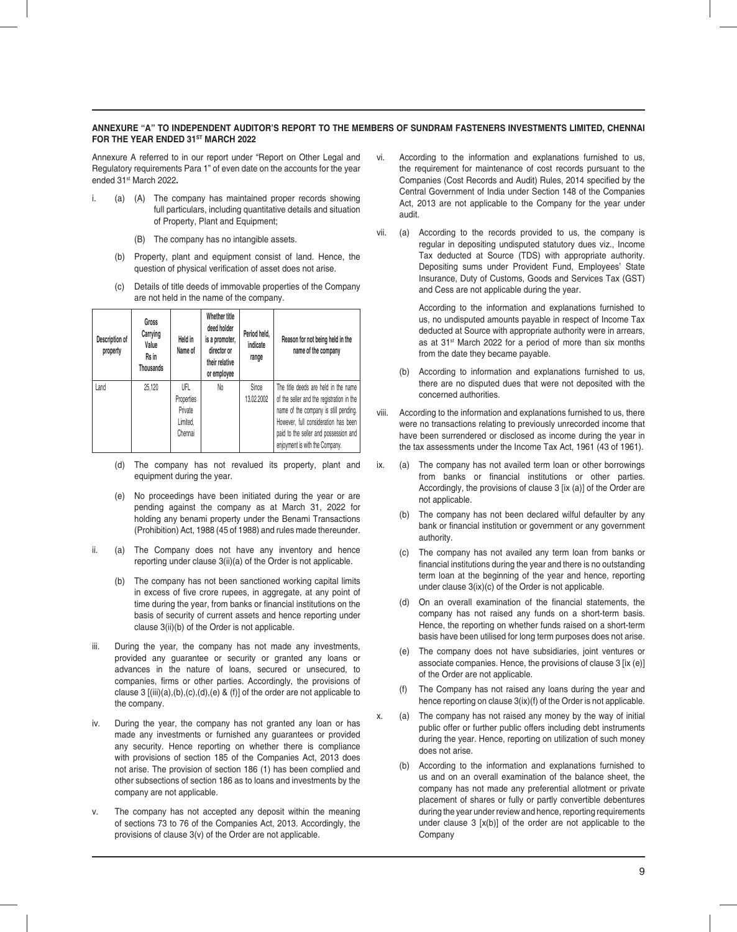### **ANNEXURE "A" TO INDEPENDENT AUDITOR'S REPORT TO THE MEMBERS OF SUNDRAM FASTENERS INVESTMENTS LIMITED, CHENNAI**  FOR THE YEAR ENDED 31<sup>st</sup> MARCH 2022

Annexure A referred to in our report under "Report on Other Legal and Regulatory requirements Para 1" of even date on the accounts for the year ended 31st March 2022**.**

- i. (a) (A) The company has maintained proper records showing full particulars, including quantitative details and situation of Property, Plant and Equipment;
	- (B) The company has no intangible assets.
	- (b) Property, plant and equipment consist of land. Hence, the question of physical verification of asset does not arise.
	- (c) Details of title deeds of immovable properties of the Company are not held in the name of the company.

| Description of<br>property | Gross<br>Carrying<br>Value<br>Rs in<br><b>Thousands</b> | Held in<br>Name of                                  | Whether title<br>deed holder<br>is a promoter,<br>director or<br>their relative<br>or employee | Period held,<br>indicate<br>range | Reason for not being held in the<br>name of the company                                                                                                                                                                                       |
|----------------------------|---------------------------------------------------------|-----------------------------------------------------|------------------------------------------------------------------------------------------------|-----------------------------------|-----------------------------------------------------------------------------------------------------------------------------------------------------------------------------------------------------------------------------------------------|
| Land                       | 25.120                                                  | UFL<br>Properties<br>Private<br>Limited.<br>Chennai | No                                                                                             | Since<br>13.02.2002               | The title deeds are held in the name<br>of the seller and the registration in the<br>name of the company is still pending.<br>However, full consideration has been<br>paid to the seller and possession and<br>enjoyment is with the Company. |

- (d) The company has not revalued its property, plant and equipment during the year.
- (e) No proceedings have been initiated during the year or are pending against the company as at March 31, 2022 for holding any benami property under the Benami Transactions (Prohibition) Act, 1988 (45 of 1988) and rules made thereunder.
- ii. (a) The Company does not have any inventory and hence reporting under clause 3(ii)(a) of the Order is not applicable.
	- (b) The company has not been sanctioned working capital limits in excess of five crore rupees, in aggregate, at any point of time during the year, from banks or financial institutions on the basis of security of current assets and hence reporting under clause 3(ii)(b) of the Order is not applicable.
- iii. During the year, the company has not made any investments, provided any guarantee or security or granted any loans or advances in the nature of loans, secured or unsecured, to companies, firms or other parties. Accordingly, the provisions of clause 3 [(iii)(a),(b),(c),(d),(e) & (f)] of the order are not applicable to the company.
- iv. During the year, the company has not granted any loan or has made any investments or furnished any guarantees or provided any security. Hence reporting on whether there is compliance with provisions of section 185 of the Companies Act, 2013 does not arise. The provision of section 186 (1) has been complied and other subsections of section 186 as to loans and investments by the company are not applicable.
- v. The company has not accepted any deposit within the meaning of sections 73 to 76 of the Companies Act, 2013. Accordingly, the provisions of clause 3(v) of the Order are not applicable.
- vi. According to the information and explanations furnished to us, the requirement for maintenance of cost records pursuant to the Companies (Cost Records and Audit) Rules, 2014 specified by the Central Government of India under Section 148 of the Companies Act, 2013 are not applicable to the Company for the year under audit.
- vii. (a) According to the records provided to us, the company is regular in depositing undisputed statutory dues viz., Income Tax deducted at Source (TDS) with appropriate authority. Depositing sums under Provident Fund, Employees' State Insurance, Duty of Customs, Goods and Services Tax (GST) and Cess are not applicable during the year.

 According to the information and explanations furnished to us, no undisputed amounts payable in respect of Income Tax deducted at Source with appropriate authority were in arrears, as at 31<sup>st</sup> March 2022 for a period of more than six months from the date they became payable.

- (b) According to information and explanations furnished to us, there are no disputed dues that were not deposited with the concerned authorities.
- viii. According to the information and explanations furnished to us, there were no transactions relating to previously unrecorded income that have been surrendered or disclosed as income during the year in the tax assessments under the Income Tax Act, 1961 (43 of 1961).
- ix. (a) The company has not availed term loan or other borrowings from banks or financial institutions or other parties. Accordingly, the provisions of clause 3 [ix (a)] of the Order are not applicable.
	- (b) The company has not been declared wilful defaulter by any bank or financial institution or government or any government authority.
	- The company has not availed any term loan from banks or financial institutions during the year and there is no outstanding term loan at the beginning of the year and hence, reporting under clause 3(ix)(c) of the Order is not applicable.
	- On an overall examination of the financial statements, the company has not raised any funds on a short-term basis. Hence, the reporting on whether funds raised on a short-term basis have been utilised for long term purposes does not arise.
	- The company does not have subsidiaries, joint ventures or associate companies. Hence, the provisions of clause 3 [ix (e)] of the Order are not applicable.
	- (f) The Company has not raised any loans during the year and hence reporting on clause 3(ix)(f) of the Order is not applicable.
	- (a) The company has not raised any money by the way of initial public offer or further public offers including debt instruments during the year. Hence, reporting on utilization of such money does not arise.
		- (b) According to the information and explanations furnished to us and on an overall examination of the balance sheet, the company has not made any preferential allotment or private placement of shares or fully or partly convertible debentures during the year under review and hence, reporting requirements under clause 3 [x(b)] of the order are not applicable to the Company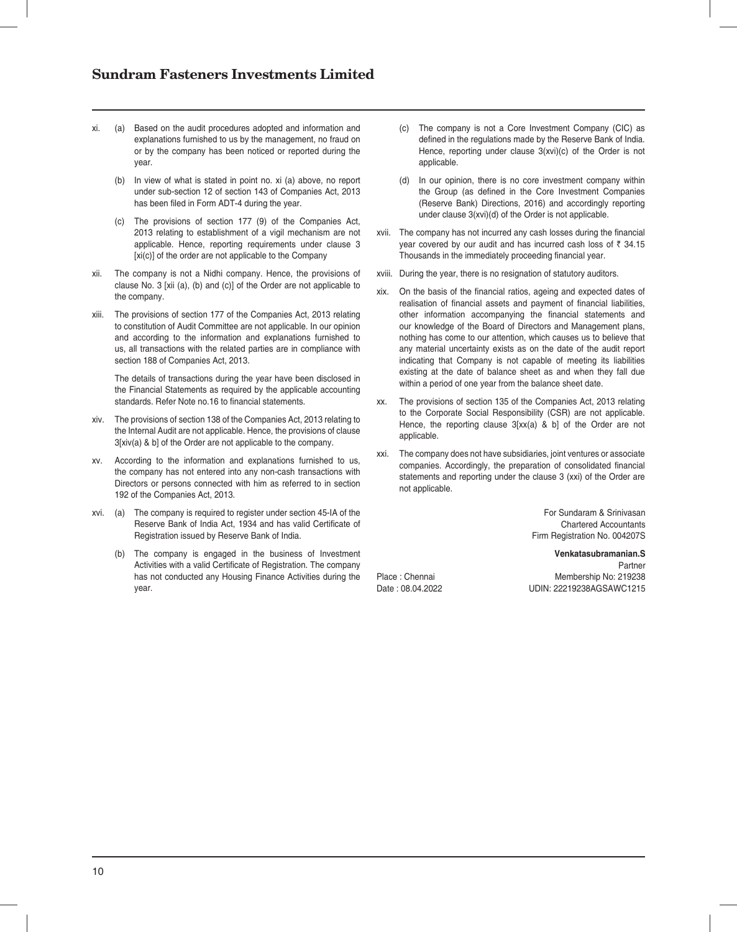- xi. (a) Based on the audit procedures adopted and information and explanations furnished to us by the management, no fraud on or by the company has been noticed or reported during the year.
	- (b) In view of what is stated in point no. xi (a) above, no report under sub-section 12 of section 143 of Companies Act, 2013 has been filed in Form ADT-4 during the year.
	- (c) The provisions of section 177 (9) of the Companies Act, 2013 relating to establishment of a vigil mechanism are not applicable. Hence, reporting requirements under clause 3 [xi(c)] of the order are not applicable to the Company
- xii. The company is not a Nidhi company. Hence, the provisions of clause No. 3 [xii (a), (b) and (c)] of the Order are not applicable to the company.
- xiii. The provisions of section 177 of the Companies Act, 2013 relating to constitution of Audit Committee are not applicable. In our opinion and according to the information and explanations furnished to us, all transactions with the related parties are in compliance with section 188 of Companies Act, 2013.

 The details of transactions during the year have been disclosed in the Financial Statements as required by the applicable accounting standards. Refer Note no.16 to financial statements.

- xiv. The provisions of section 138 of the Companies Act, 2013 relating to the Internal Audit are not applicable. Hence, the provisions of clause 3[xiv(a) & b] of the Order are not applicable to the company.
- xv. According to the information and explanations furnished to us, the company has not entered into any non-cash transactions with Directors or persons connected with him as referred to in section 192 of the Companies Act, 2013.
- xvi. (a) The company is required to register under section 45-IA of the Reserve Bank of India Act, 1934 and has valid Certificate of Registration issued by Reserve Bank of India.
	- (b) The company is engaged in the business of Investment Activities with a valid Certificate of Registration. The company has not conducted any Housing Finance Activities during the year.
- (c) The company is not a Core Investment Company (CIC) as defined in the regulations made by the Reserve Bank of India. Hence, reporting under clause 3(xvi)(c) of the Order is not applicable.
- (d) In our opinion, there is no core investment company within the Group (as defined in the Core Investment Companies (Reserve Bank) Directions, 2016) and accordingly reporting under clause 3(xvi)(d) of the Order is not applicable.
- xvii. The company has not incurred any cash losses during the financial year covered by our audit and has incurred cash loss of  $\bar{\tau}$  34.15 Thousands in the immediately proceeding financial year.
- xviii. During the year, there is no resignation of statutory auditors.
- xix. On the basis of the financial ratios, ageing and expected dates of realisation of financial assets and payment of financial liabilities, other information accompanying the financial statements and our knowledge of the Board of Directors and Management plans, nothing has come to our attention, which causes us to believe that any material uncertainty exists as on the date of the audit report indicating that Company is not capable of meeting its liabilities existing at the date of balance sheet as and when they fall due within a period of one year from the balance sheet date.
- xx. The provisions of section 135 of the Companies Act, 2013 relating to the Corporate Social Responsibility (CSR) are not applicable. Hence, the reporting clause 3[xx(a) & b] of the Order are not applicable.
- xxi. The company does not have subsidiaries, joint ventures or associate companies. Accordingly, the preparation of consolidated financial statements and reporting under the clause 3 (xxi) of the Order are not applicable.

For Sundaram & Srinivasan Chartered Accountants Firm Registration No. 004207S

**Venkatasubramanian.S Partner** Partner (1999) and the contract of the contract of the contract of the contract of the contract of the contract of the contract of the contract of the contract of the contract of the contract of the contract of t Place : Chennai Membership No: 219238 Date : 08.04.2022 UDIN: 22219238AGSAWC1215

10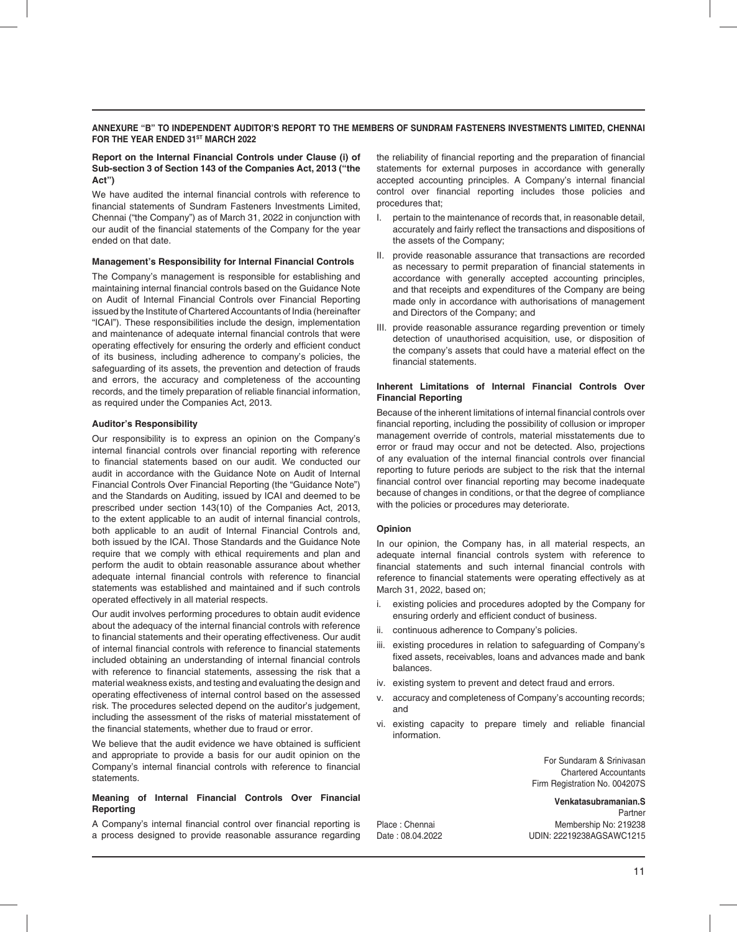#### **ANNEXURE "B" TO INDEPENDENT AUDITOR'S REPORT TO THE MEMBERS OF SUNDRAM FASTENERS INVESTMENTS LIMITED, CHENNAI**  FOR THE YEAR ENDED 31<sup>ST</sup> MARCH 2022

#### **Report on the Internal Financial Controls under Clause (i) of Sub-section 3 of Section 143 of the Companies Act, 2013 ("the Act")**

We have audited the internal financial controls with reference to financial statements of Sundram Fasteners Investments Limited. Chennai ("the Company") as of March 31, 2022 in conjunction with our audit of the financial statements of the Company for the year ended on that date.

#### **Management's Responsibility for Internal Financial Controls**

The Company's management is responsible for establishing and maintaining internal financial controls based on the Guidance Note on Audit of Internal Financial Controls over Financial Reporting issued by the Institute of Chartered Accountants of India (hereinafter "ICAI"). These responsibilities include the design, implementation and maintenance of adequate internal financial controls that were operating effectively for ensuring the orderly and efficient conduct of its business, including adherence to company's policies, the safeguarding of its assets, the prevention and detection of frauds and errors, the accuracy and completeness of the accounting records, and the timely preparation of reliable financial information, as required under the Companies Act, 2013.

#### **Auditor's Responsibility**

Our responsibility is to express an opinion on the Company's internal financial controls over financial reporting with reference to financial statements based on our audit. We conducted our audit in accordance with the Guidance Note on Audit of Internal Financial Controls Over Financial Reporting (the "Guidance Note") and the Standards on Auditing, issued by ICAI and deemed to be prescribed under section 143(10) of the Companies Act, 2013, to the extent applicable to an audit of internal financial controls, both applicable to an audit of Internal Financial Controls and, both issued by the ICAI. Those Standards and the Guidance Note require that we comply with ethical requirements and plan and perform the audit to obtain reasonable assurance about whether adequate internal financial controls with reference to financial statements was established and maintained and if such controls operated effectively in all material respects.

Our audit involves performing procedures to obtain audit evidence about the adequacy of the internal financial controls with reference to financial statements and their operating effectiveness. Our audit of internal financial controls with reference to financial statements included obtaining an understanding of internal financial controls with reference to financial statements, assessing the risk that a material weakness exists, and testing and evaluating the design and operating effectiveness of internal control based on the assessed risk. The procedures selected depend on the auditor's judgement, including the assessment of the risks of material misstatement of the financial statements, whether due to fraud or error.

We believe that the audit evidence we have obtained is sufficient and appropriate to provide a basis for our audit opinion on the Company's internal financial controls with reference to financial statements.

#### **Meaning of Internal Financial Controls Over Financial Reporting**

A Company's internal financial control over financial reporting is a process designed to provide reasonable assurance regarding the reliability of financial reporting and the preparation of financial statements for external purposes in accordance with generally accepted accounting principles. A Company's internal financial control over financial reporting includes those policies and procedures that;

- I. pertain to the maintenance of records that, in reasonable detail, accurately and fairly reflect the transactions and dispositions of the assets of the Company;
- II. provide reasonable assurance that transactions are recorded as necessary to permit preparation of financial statements in accordance with generally accepted accounting principles, and that receipts and expenditures of the Company are being made only in accordance with authorisations of management and Directors of the Company; and
- III. provide reasonable assurance regarding prevention or timely detection of unauthorised acquisition, use, or disposition of the company's assets that could have a material effect on the financial statements.

# **Inherent Limitations of Internal Financial Controls Over Financial Reporting**

Because of the inherent limitations of internal financial controls over financial reporting, including the possibility of collusion or improper management override of controls, material misstatements due to error or fraud may occur and not be detected. Also, projections of any evaluation of the internal financial controls over financial reporting to future periods are subject to the risk that the internal financial control over financial reporting may become inadequate because of changes in conditions, or that the degree of compliance with the policies or procedures may deteriorate.

#### **Opinion**

In our opinion, the Company has, in all material respects, an adequate internal financial controls system with reference to financial statements and such internal financial controls with reference to financial statements were operating effectively as at March 31, 2022, based on;

- i. existing policies and procedures adopted by the Company for ensuring orderly and efficient conduct of business.
- ii. continuous adherence to Company's policies.
- iii. existing procedures in relation to safeguarding of Company's fixed assets, receivables, loans and advances made and bank balances.
- iv. existing system to prevent and detect fraud and errors.
- v. accuracy and completeness of Company's accounting records; and
- vi. existing capacity to prepare timely and reliable financial information.

For Sundaram & Srinivasan Chartered Accountants Firm Registration No. 004207S

**Venkatasubramanian.S Partner** Partner and the contract of the contract of the contract of the contract of the contract of the contract of the contract of the contract of the contract of the contract of the contract of the contract of the cont Place : Chennai Membership No: 219238 Date : 08.04.2022 UDIN: 22219238AGSAWC1215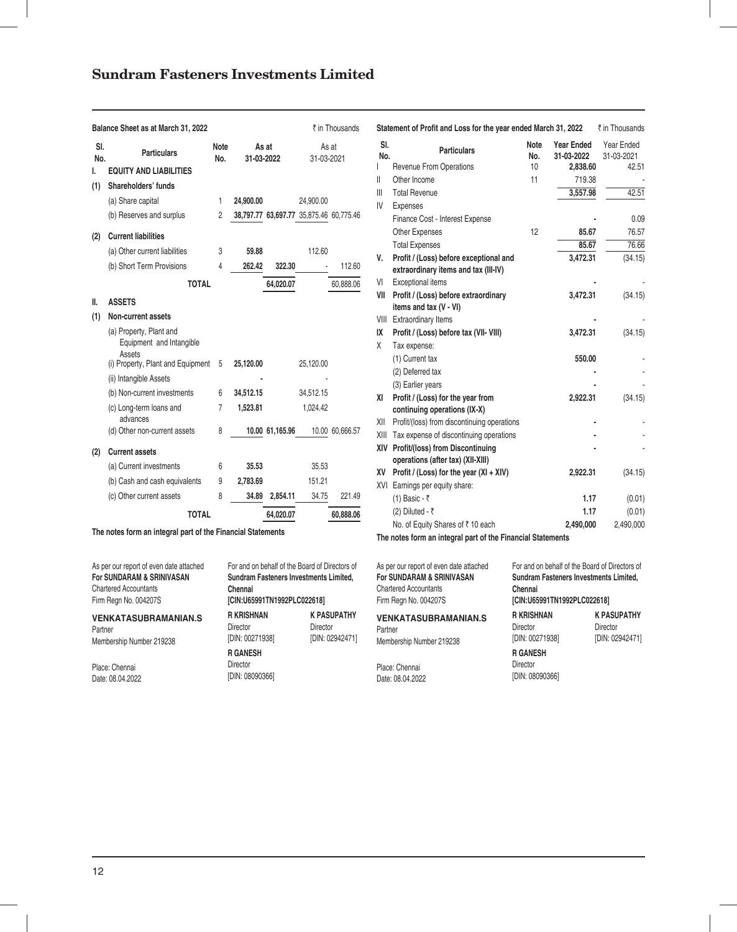|            | Balance Sheet as at March 31, 2022                            |                |                     |                 |                                         | ₹ in Thousands  |
|------------|---------------------------------------------------------------|----------------|---------------------|-----------------|-----------------------------------------|-----------------|
| SI.<br>No. | <b>Particulars</b>                                            | Note<br>No.    | As at<br>31-03-2022 |                 | As at<br>31-03-2021                     |                 |
| L<br>(1)   | <b>EQUITY AND LIABILITIES</b><br>Shareholders' funds          |                |                     |                 |                                         |                 |
|            | (a) Share capital                                             | 1              | 24,900.00           |                 | 24,900.00                               |                 |
|            | (b) Reserves and surplus                                      | $\overline{2}$ |                     |                 | 38,797.77 63,697.77 35,875.46 60,775.46 |                 |
| (2)        | <b>Current liabilities</b>                                    |                |                     |                 |                                         |                 |
|            | (a) Other current liabilities                                 | 3              | 59.88               |                 | 112.60                                  |                 |
|            | (b) Short Term Provisions                                     | 4              | 262.42              | 322.30          |                                         | 112.60          |
|            | <b>TOTAL</b>                                                  |                |                     | 64,020.07       |                                         | 60,888.06       |
| Ш.         | <b>ASSETS</b>                                                 |                |                     |                 |                                         |                 |
| (1)        | Non-current assets                                            |                |                     |                 |                                         |                 |
|            | (a) Property, Plant and<br>Equipment and Intangible<br>Assets |                |                     |                 |                                         |                 |
|            | (i) Property, Plant and Equipment                             | 5              | 25,120.00           |                 | 25,120.00                               |                 |
|            | (ii) Intangible Assets                                        |                |                     |                 |                                         |                 |
|            | (b) Non-current investments                                   | 6              | 34,512.15           |                 | 34,512.15                               |                 |
|            | (c) Long-term loans and<br>advances                           | 7              | 1,523.81            |                 | 1,024.42                                |                 |
|            | (d) Other non-current assets                                  | 8              |                     | 10.00 61,165.96 |                                         | 10.00 60,666.57 |
| (2)        | <b>Current assets</b>                                         |                |                     |                 |                                         |                 |
|            | (a) Current investments                                       | 6              | 35.53               |                 | 35.53                                   |                 |
|            | (b) Cash and cash equivalents                                 | 9              | 2,783.69            |                 | 151.21                                  |                 |
|            | (c) Other current assets                                      | 8              | 34.89               | 2,854.11        | 34.75                                   | 221.49          |
|            | <b>TOTAL</b>                                                  |                |                     | 64,020.07       |                                         | 60,888.06       |

**The notes form an integral part of the Financial Statements**

As per our report of even date attached **For SUNDARAM & SRINIVASAN** Chartered Accountants Firm Regn No. 004207S

# **VENKATASUBRAMANIAN.S**

Partner Membership Number 219238

Place: Chennai Date: 08.04.2022

For and on behalf of the Board of Directors of **Sundram Fasteners Investments Limited, Chennai [CIN:U65991TN1992PLC022618] R KRISHNAN K PASUPATHY** Director Director<br>
[DIN: 00271938] [DIN: 02942471] [DIN: 00271938] **R GANESH**  Director [DIN: 08090366]

|            | Statement of Profit and Loss for the year ended March 31, 2022                 |                    |                                 | ₹ in Thousands           |
|------------|--------------------------------------------------------------------------------|--------------------|---------------------------------|--------------------------|
| SI.<br>No. | <b>Particulars</b>                                                             | <b>Note</b><br>No. | <b>Year Ended</b><br>31-03-2022 | Year Ended<br>31-03-2021 |
| L          | <b>Revenue From Operations</b>                                                 | 10                 | 2,838.60                        | 42.51                    |
| Ш          | Other Income                                                                   | 11                 | 719.38                          |                          |
| Ш          | <b>Total Revenue</b>                                                           |                    | 3,557.98                        | 42.51                    |
| IV         | <b>Expenses</b>                                                                |                    |                                 |                          |
|            | Finance Cost - Interest Expense                                                |                    |                                 | 0.09                     |
|            | Other Expenses                                                                 | 12                 | 85.67                           | 76.57                    |
|            | <b>Total Expenses</b>                                                          |                    | 85.67                           | 76.66                    |
| V.         | Profit / (Loss) before exceptional and<br>extraordinary items and tax (III-IV) |                    | 3,472.31                        | (34.15)                  |
| VI         | <b>Exceptional items</b>                                                       |                    |                                 |                          |
| VII        | Profit / (Loss) before extraordinary<br>items and tax (V - VI)                 |                    | 3,472.31                        | (34.15)                  |
|            | VIII Extraordinary Items                                                       |                    |                                 |                          |
| IX         | Profit / (Loss) before tax (VII- VIII)                                         |                    | 3,472.31                        | (34.15)                  |
| X          | Tax expense:                                                                   |                    |                                 |                          |
|            | (1) Current tax                                                                |                    | 550.00                          |                          |
|            | (2) Deferred tax                                                               |                    |                                 |                          |
|            | (3) Earlier years                                                              |                    |                                 |                          |
| XI         | Profit / (Loss) for the year from<br>continuing operations (IX-X)              |                    | 2,922.31                        | (34.15)                  |
| XII        | Profit/(loss) from discontinuing operations                                    |                    |                                 |                          |
| XIII       | Tax expense of discontinuing operations                                        |                    |                                 |                          |
| XIV        | <b>Profit/(loss) from Discontinuing</b><br>operations (after tax) (XII-XIII)   |                    |                                 |                          |
| XV         | Profit / (Loss) for the year (XI + XIV)                                        |                    | 2,922.31                        | (34.15)                  |
|            | XVI Earnings per equity share:                                                 |                    |                                 |                          |
|            | (1) Basic - ₹                                                                  |                    | 1.17                            | (0.01)                   |
|            | (2) Diluted - ₹                                                                |                    | 1.17                            | (0.01)                   |
|            | No. of Equity Shares of ₹10 each                                               |                    | 2,490,000                       | 2,490,000                |
|            | The nates form on integral next of the Eineneial Ctatements                    |                    |                                 |                          |

**The notes form an integral part of the Financial Statements**

| <b>Chartered Accountants</b><br>Firm Regn No. 004207S | As per our report of even date attached<br><b>For SUNDARAM &amp; SRINIVASAN</b> |  |
|-------------------------------------------------------|---------------------------------------------------------------------------------|--|
| Partner                                               | <b>VENKATASUBRAMANIAN.S</b><br>Membership Number 219238                         |  |
| Place: Chennai                                        |                                                                                 |  |

Date: 08.04.2022

Director Director<br>
[DIN: 00271938] [DIN: 02942471] [DIN: 00271938] **R GANESH**  Director [DIN: 08090366]

**Chennai**

For and on behalf of the Board of Directors of **Sundram Fasteners Investments Limited,** 

**[CIN:U65991TN1992PLC022618] R KRISHNAN K PASUPATHY**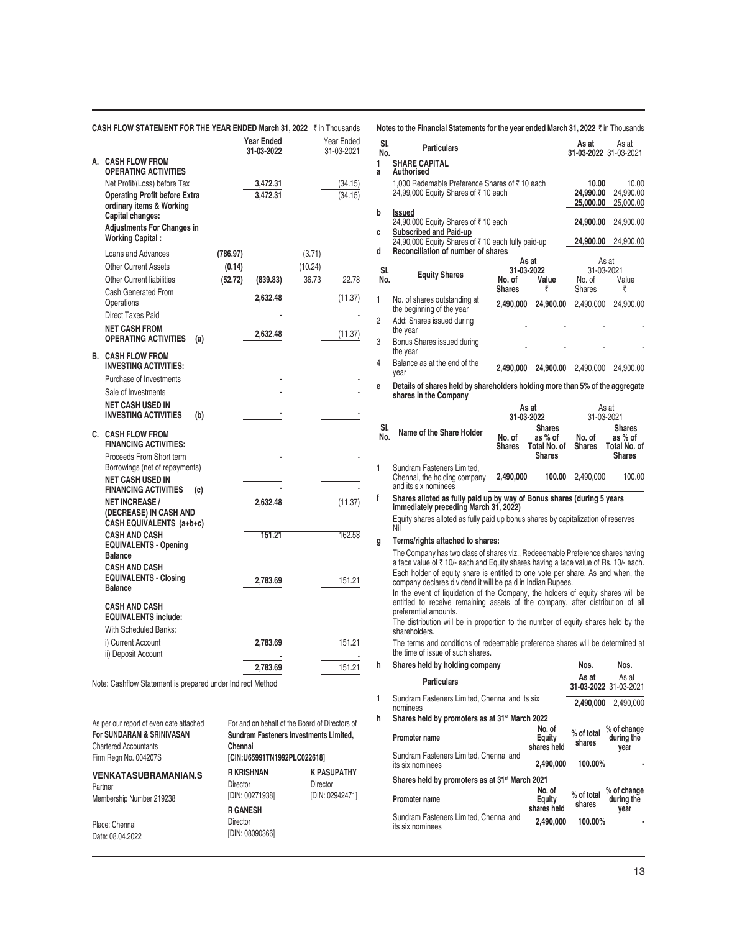|    | CASH FLOW STATEMENT FOR THE YEAR ENDED March 31, 2022 ₹ in Thousands                                                                                                                                                                         |     |          |                                    |         |                                  |
|----|----------------------------------------------------------------------------------------------------------------------------------------------------------------------------------------------------------------------------------------------|-----|----------|------------------------------------|---------|----------------------------------|
|    |                                                                                                                                                                                                                                              |     |          | <b>Year Ended</b>                  |         | Year Ended                       |
| А. | <b>CASH FLOW FROM</b><br><b>OPERATING ACTIVITIES</b><br>Net Profit/(Loss) before Tax<br><b>Operating Profit before Extra</b><br>ordinary items & Working<br>Capital changes:<br><b>Adjustments For Changes in</b><br><b>Working Capital:</b> |     |          | 31-03-2022<br>3,472.31<br>3,472.31 |         | 31-03-2021<br>(34.15)<br>(34.15) |
|    | Loans and Advances                                                                                                                                                                                                                           |     | (786.97) |                                    | (3.71)  |                                  |
|    | <b>Other Current Assets</b>                                                                                                                                                                                                                  |     | (0.14)   |                                    | (10.24) |                                  |
|    | <b>Other Current liabilities</b>                                                                                                                                                                                                             |     | (52.72)  | (839.83)                           | 36.73   | 22.78                            |
|    | Cash Generated From<br>Operations                                                                                                                                                                                                            |     |          | 2,632.48                           |         | (11.37)                          |
|    | Direct Taxes Paid                                                                                                                                                                                                                            |     |          |                                    |         |                                  |
|    | <b>NET CASH FROM</b><br><b>OPERATING ACTIVITIES</b>                                                                                                                                                                                          | (a) |          | 2,632.48                           |         | (11.37)                          |
| В. | <b>CASH FLOW FROM</b><br><b>INVESTING ACTIVITIES:</b><br>Purchase of Investments<br>Sale of Investments<br><b>NET CASH USED IN</b><br><b>INVESTING ACTIVITIES</b>                                                                            | (b) |          |                                    |         |                                  |
| C. | <b>CASH FLOW FROM</b><br><b>FINANCING ACTIVITIES:</b><br>Proceeds From Short term<br>Borrowings (net of repayments)<br><b>NET CASH USED IN</b>                                                                                               |     |          |                                    |         |                                  |
|    | <b>FINANCING ACTIVITIES</b>                                                                                                                                                                                                                  | (c) |          |                                    |         |                                  |
|    | <b>NET INCREASE /</b><br>(DECREASE) IN CASH AND                                                                                                                                                                                              |     |          | 2,632.48                           |         | (11.37)                          |
|    | CASH EQUIVALENTS (a+b+c)<br><b>CASH AND CASH</b><br><b>EQUIVALENTS - Opening</b><br><b>Balance</b>                                                                                                                                           |     |          | 151.21                             |         | 162.58                           |
|    | <b>CASH AND CASH</b><br><b>EQUIVALENTS - Closing</b><br><b>Balance</b>                                                                                                                                                                       |     |          | 2,783.69                           |         | 151.21                           |
|    | <b>CASH AND CASH</b><br><b>EQUIVALENTS include:</b><br>With Scheduled Banks:<br>i) Current Account                                                                                                                                           |     |          | 2,783.69                           |         | 151.21                           |
|    | ii) Deposit Account                                                                                                                                                                                                                          |     |          |                                    |         |                                  |
|    |                                                                                                                                                                                                                                              |     |          | 2,783.69                           |         | 151.21                           |
|    | Note: Cashflow Statement is prepared under Indirect Method                                                                                                                                                                                   |     |          |                                    |         |                                  |

| As per our report of even date attached | For and on behalf of the Board of Directors of |                    |
|-----------------------------------------|------------------------------------------------|--------------------|
| For SUNDARAM & SRINIVASAN               | Sundram Fasteners Investments Limited,         |                    |
| <b>Chartered Accountants</b>            | Chennai                                        |                    |
| Firm Regn No. 004207S                   | [CIN:U65991TN1992PLC022618]                    |                    |
| <b>VENKATASUBRAMANIAN.S</b>             | <b>R KRISHNAN</b>                              | <b>K PASUPATHY</b> |
| Partner                                 | Director                                       | Director           |
| Membership Number 219238                | [DIN: 00271938]                                | [DIN: 02942471]    |
| Place: Chennai<br>Date: 08.04.2022      | <b>R GANESH</b><br>Director<br>[DIN: 08090366] |                    |

**Notes to the Financial Statements for the year ended March 31, 2022 ₹ in Thousands** 

| SI.<br>No. | <b>Particulars</b>                                                                                                                                                   |                         |                                          | As at<br>31-03-2022 31-03-2021  | As at                                    |  |
|------------|----------------------------------------------------------------------------------------------------------------------------------------------------------------------|-------------------------|------------------------------------------|---------------------------------|------------------------------------------|--|
| 1<br>a     | <b>SHARE CAPITAL</b><br>Authorised                                                                                                                                   |                         |                                          |                                 |                                          |  |
|            | 1,000 Redemable Preference Shares of ₹10 each<br>24,99,000 Equity Shares of ₹10 each                                                                                 |                         |                                          | 10.00<br>24,990.00<br>25,000.00 | 10.00<br>24,990.00<br>25,000.00          |  |
| b          | <b>Issued</b><br>24,90,000 Equity Shares of ₹10 each                                                                                                                 | 24,900.00               | 24,900.00                                |                                 |                                          |  |
| C          | <b>Subscribed and Paid-up</b><br>24,90,000 Equity Shares of ₹10 each fully paid-up                                                                                   |                         |                                          | 24,900.00                       | 24,900.00                                |  |
| d          | Reconciliation of number of shares                                                                                                                                   |                         | As at                                    | As at                           |                                          |  |
| SI.<br>No. | <b>Equity Shares</b>                                                                                                                                                 | No. of<br><b>Shares</b> | 31-03-2022<br>Value<br>₹                 | 31-03-2021<br>No. of<br>Shares  | Value<br>₹                               |  |
| 1          | No. of shares outstanding at<br>the beginning of the year                                                                                                            | 2,490,000               | 24,900.00                                | 2,490,000                       | 24,900.00                                |  |
| 2          | Add: Shares issued during<br>the year                                                                                                                                |                         |                                          |                                 |                                          |  |
| 3          | Bonus Shares issued during<br>the year                                                                                                                               |                         |                                          |                                 |                                          |  |
| 4          | Balance as at the end of the<br>year                                                                                                                                 | 2.490.000               | 24,900.00                                | 2,490,000                       | 24,900.00                                |  |
| е          | Details of shares held by shareholders holding more than 5% of the aggregate<br>shares in the Company                                                                |                         |                                          |                                 |                                          |  |
|            |                                                                                                                                                                      |                         | As at<br>31-03-2022                      | As at                           |                                          |  |
| SI.        | Name of the Share Holder                                                                                                                                             |                         | <b>Shares</b>                            | 31-03-2021<br><b>Shares</b>     |                                          |  |
| No.        |                                                                                                                                                                      | No. of<br><b>Shares</b> | as % of<br>Total No. of<br><b>Shares</b> | No. of<br><b>Shares</b>         | as % of<br>Total No. of<br><b>Shares</b> |  |
| 1          | Sundram Fasteners Limited.<br>Chennai, the holding company<br>and its six nominees                                                                                   | 2,490,000               | 100.00                                   | 2,490,000                       | 100.00                                   |  |
| f          | Shares alloted as fully paid up by way of Bonus shares (during 5 years<br>immediately preceding March 31, 2022)                                                      |                         |                                          |                                 |                                          |  |
|            | Equity shares alloted as fully paid up bonus shares by capitalization of reserves<br>Nil                                                                             |                         |                                          |                                 |                                          |  |
| g          | Terms/rights attached to shares:                                                                                                                                     |                         |                                          |                                 |                                          |  |
|            | The Company has two class of shares viz., Redeeemable Preference shares having<br>a face value of ₹10/- each and Equity shares having a face value of Rs. 10/- each. |                         |                                          |                                 |                                          |  |
|            | Each holder of equity share is entitled to one vote per share. As and when, the                                                                                      |                         |                                          |                                 |                                          |  |
|            | company declares dividend it will be paid in Indian Rupees.<br>In the event of liquidation of the Company, the holders of equity shares will be                      |                         |                                          |                                 |                                          |  |
|            | entitled to receive remaining assets of the company, after distribution of all<br>preferential amounts.                                                              |                         |                                          |                                 |                                          |  |
|            | The distribution will be in proportion to the number of equity shares held by the<br>shareholders.                                                                   |                         |                                          |                                 |                                          |  |
|            | The terms and conditions of redeemable preference shares will be determined at<br>the time of issue of such shares.                                                  |                         |                                          |                                 |                                          |  |
| h          | Shares held by holding company                                                                                                                                       |                         |                                          | Nos.                            | Nos.                                     |  |
|            | <b>Particulars</b>                                                                                                                                                   |                         |                                          | As at<br>31-03-2022 31-03-2021  | As at                                    |  |
| 1          | Sundram Fasteners Limited, Chennai and its six<br>nominees                                                                                                           |                         |                                          | 2,490,000                       | 2,490,000                                |  |
| h          | Shares held by promoters as at 31 <sup>st</sup> March 2022                                                                                                           |                         | No. of                                   |                                 | % of change                              |  |
|            | Promoter name                                                                                                                                                        |                         | Equity<br>shares held                    | % of total<br>shares            | during the<br>year                       |  |
|            | Sundram Fasteners Limited, Chennai and<br>its six nominees                                                                                                           |                         | 2,490,000                                | 100.00%                         |                                          |  |
|            | Shares held by promoters as at 31 <sup>st</sup> March 2021                                                                                                           |                         | No. of                                   |                                 | % of change                              |  |
|            | Promoter name                                                                                                                                                        |                         | Equity<br>shares held                    | % of total<br>shares            | during the<br>year                       |  |
|            |                                                                                                                                                                      |                         |                                          |                                 |                                          |  |
|            | Sundram Fasteners Limited, Chennai and<br>its six nominees                                                                                                           |                         | 2,490,000                                | 100.00%                         |                                          |  |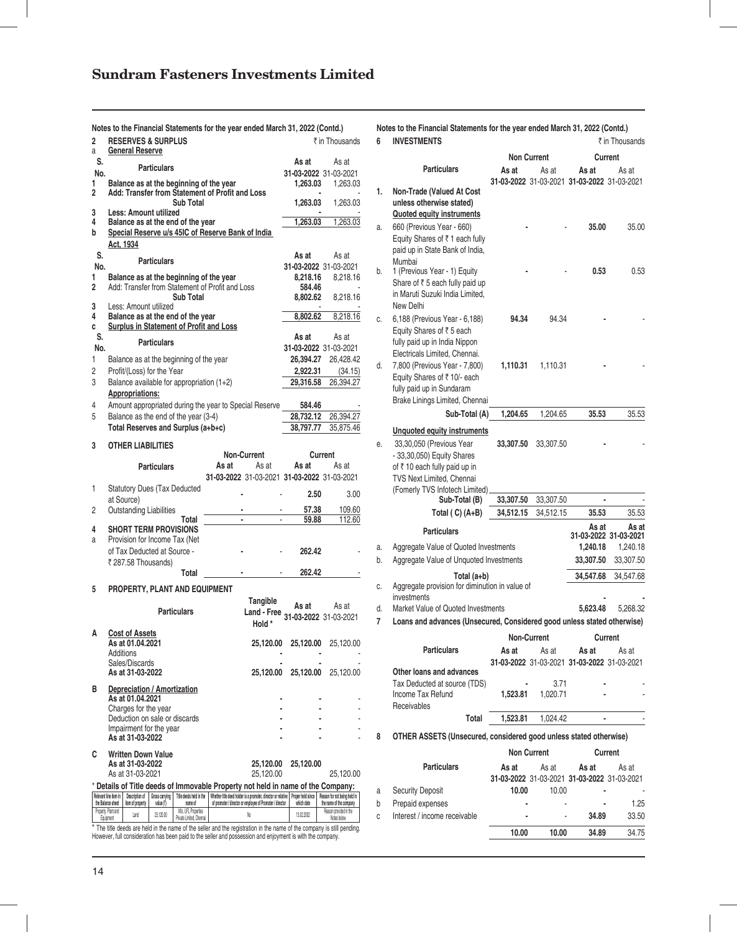|           | Notes to the Financial Statements for the year ended March 31, 2022 (Contd.)                                                                                                                                                      |                                   |                                                   |                      | Notes to the Financial Statements for the year ended March 31, 2022 (Contd.) |                                                      |                |                                                      |           |
|-----------|-----------------------------------------------------------------------------------------------------------------------------------------------------------------------------------------------------------------------------------|-----------------------------------|---------------------------------------------------|----------------------|------------------------------------------------------------------------------|------------------------------------------------------|----------------|------------------------------------------------------|-----------|
| 2<br>a    | <b>RESERVES &amp; SURPLUS</b><br><b>General Reserve</b>                                                                                                                                                                           |                                   | ₹ in Thousands                                    | 6                    | <b>INVESTMENTS</b>                                                           |                                                      | ₹ in Thousands |                                                      |           |
| S.        |                                                                                                                                                                                                                                   | As at                             | As at                                             |                      |                                                                              | <b>Non Current</b>                                   |                | Current                                              |           |
| No.       | <b>Particulars</b>                                                                                                                                                                                                                | 31-03-2022 31-03-2021             |                                                   |                      | <b>Particulars</b>                                                           | As at<br>31-03-2022 31-03-2021 31-03-2022 31-03-2021 | As at          | As at                                                | As at     |
| 1<br>2    | Balance as at the beginning of the year<br>Add: Transfer from Statement of Profit and Loss                                                                                                                                        | 1,263.03                          | 1,263.03                                          | 1.                   | Non-Trade (Valued At Cost                                                    |                                                      |                |                                                      |           |
|           | <b>Sub Total</b>                                                                                                                                                                                                                  | 1,263.03                          | 1,263.03                                          |                      | unless otherwise stated)                                                     |                                                      |                |                                                      |           |
| 3<br>4    | Less: Amount utilized<br>Balance as at the end of the year                                                                                                                                                                        | 1,263.03                          | 1,263.03                                          |                      | Quoted equity instruments                                                    |                                                      |                |                                                      |           |
| b         | Special Reserve u/s 45IC of Reserve Bank of India                                                                                                                                                                                 |                                   |                                                   | a.                   | 660 (Previous Year - 660)<br>Equity Shares of ₹1 each fully                  |                                                      |                | 35.00                                                | 35.00     |
|           | Act, 1934                                                                                                                                                                                                                         |                                   |                                                   |                      | paid up in State Bank of India,                                              |                                                      |                |                                                      |           |
| S.        | <b>Particulars</b>                                                                                                                                                                                                                | As at                             | As at                                             |                      | Mumbai                                                                       |                                                      |                |                                                      |           |
| No.<br>1  | Balance as at the beginning of the year                                                                                                                                                                                           | 31-03-2022 31-03-2021<br>8,218.16 | 8,218.16                                          | b.                   | 1 (Previous Year - 1) Equity                                                 |                                                      |                | 0.53                                                 | 0.53      |
| 2         | Add: Transfer from Statement of Profit and Loss                                                                                                                                                                                   | 584.46                            |                                                   |                      | Share of ₹5 each fully paid up                                               |                                                      |                |                                                      |           |
| 3         | <b>Sub Total</b><br>Less: Amount utilized                                                                                                                                                                                         | 8,802.62                          | 8,218.16                                          |                      | in Maruti Suzuki India Limited,<br>New Delhi                                 |                                                      |                |                                                      |           |
| 4         | Balance as at the end of the year                                                                                                                                                                                                 | 8,802.62                          | 8,218.16                                          | C.                   | 6,188 (Previous Year - 6,188)                                                | 94.34                                                | 94.34          |                                                      |           |
| C         | <b>Surplus in Statement of Profit and Loss</b>                                                                                                                                                                                    |                                   |                                                   |                      | Equity Shares of ₹5 each                                                     |                                                      |                |                                                      |           |
| S.<br>No. | <b>Particulars</b>                                                                                                                                                                                                                | As at<br>31-03-2022 31-03-2021    | As at                                             |                      | fully paid up in India Nippon                                                |                                                      |                |                                                      |           |
| 1         | Balance as at the beginning of the year                                                                                                                                                                                           | 26.394.27                         | 26,428.42                                         |                      | Electricals Limited, Chennai.                                                |                                                      |                |                                                      |           |
| 2         | Profit/(Loss) for the Year                                                                                                                                                                                                        | 2,922.31                          | (34.15)                                           | d.                   | 7,800 (Previous Year - 7,800)                                                | 1.110.31                                             | 1.110.31       |                                                      |           |
| 3         | Balance available for appropriation (1+2)                                                                                                                                                                                         | 29,316.58                         | 26,394.27                                         |                      | Equity Shares of ₹10/- each                                                  |                                                      |                |                                                      |           |
|           | Appropriations:                                                                                                                                                                                                                   |                                   |                                                   |                      | fully paid up in Sundaram<br>Brake Linings Limited, Chennai                  |                                                      |                |                                                      |           |
| 4         | Amount appropriated during the year to Special Reserve                                                                                                                                                                            | 584.46                            | 26,394.27                                         |                      | Sub-Total (A)                                                                | 1,204.65                                             | 1,204.65       | 35.53                                                | 35.53     |
| 5         | Balance as the end of the year (3-4)<br>Total Reserves and Surplus (a+b+c)                                                                                                                                                        | 28,732.12<br>38,797.77            | 35,875.46                                         |                      |                                                                              |                                                      |                |                                                      |           |
|           |                                                                                                                                                                                                                                   |                                   |                                                   |                      | Unquoted equity instruments                                                  |                                                      |                |                                                      |           |
| 3         | <b>OTHER LIABILITIES</b><br>Non-Current                                                                                                                                                                                           |                                   | Current                                           | е.                   | 33,30,050 (Previous Year<br>- 33,30,050) Equity Shares                       | 33,307.50                                            | 33,307.50      |                                                      |           |
|           | As at<br>As at<br><b>Particulars</b>                                                                                                                                                                                              | As at                             | As at                                             |                      | of ₹ 10 each fully paid up in                                                |                                                      |                |                                                      |           |
|           | 31-03-2022 31-03-2021 31-03-2022 31-03-2021                                                                                                                                                                                       |                                   |                                                   |                      | TVS Next Limited, Chennai                                                    |                                                      |                |                                                      |           |
| 1         | <b>Statutory Dues (Tax Deducted</b>                                                                                                                                                                                               | 2.50                              | 3.00                                              |                      | (Fomerly TVS Infotech Limited)                                               |                                                      |                |                                                      |           |
| 2         | at Source)<br><b>Outstanding Liabilities</b>                                                                                                                                                                                      | 57.38                             | 109.60                                            |                      | Sub-Total (B)                                                                | 33,307.50                                            | 33,307.50      | $\blacksquare$                                       |           |
|           | Total<br>$\blacksquare$                                                                                                                                                                                                           | 59.88<br>×.                       | 112.60                                            |                      | Total $(C)$ $(A+B)$                                                          | 34,512.15                                            | 34,512.15      | 35.53                                                | 35.53     |
| 4         | <b>SHORT TERM PROVISIONS</b>                                                                                                                                                                                                      |                                   |                                                   |                      | <b>Particulars</b>                                                           |                                                      |                | As at<br>31-03-2022 31-03-2021                       | As at     |
| a         | Provision for Income Tax (Net<br>of Tax Deducted at Source -                                                                                                                                                                      | 262.42                            |                                                   | a.                   | Aggregate Value of Quoted Investments                                        |                                                      |                | 1,240.18                                             | 1,240.18  |
|           | ₹ 287.58 Thousands)                                                                                                                                                                                                               |                                   |                                                   | b.                   | Aggregate Value of Unquoted Investments                                      |                                                      |                | 33,307.50                                            | 33,307.50 |
|           | Total                                                                                                                                                                                                                             | 262.42                            |                                                   |                      | Total (a+b)                                                                  |                                                      |                | 34,547.68                                            | 34,547.68 |
| 5         | PROPERTY, PLANT AND EQUIPMENT                                                                                                                                                                                                     |                                   |                                                   | C.                   | Aggregate provision for diminution in value of                               |                                                      |                |                                                      |           |
|           | Tangible                                                                                                                                                                                                                          | As at                             | As at                                             |                      | investments                                                                  |                                                      |                |                                                      |           |
|           | <b>Particulars</b>                                                                                                                                                                                                                | Land - Free 31-03-2022 31-03-2021 |                                                   | d.<br>$\overline{7}$ | Market Value of Quoted Investments                                           |                                                      |                | 5,623.48                                             | 5,268.32  |
|           | Hold *<br><b>Cost of Assets</b>                                                                                                                                                                                                   |                                   |                                                   |                      | Loans and advances (Unsecured, Considered good unless stated otherwise)      |                                                      |                |                                                      |           |
|           | As at 01.04.2021<br>25,120.00                                                                                                                                                                                                     | 25,120.00                         | 25,120.00                                         |                      |                                                                              | Non-Current                                          |                | Current                                              |           |
|           | Additions<br>Sales/Discards                                                                                                                                                                                                       |                                   |                                                   |                      | <b>Particulars</b>                                                           | As at                                                | As at          | As at<br>31-03-2022 31-03-2021 31-03-2022 31-03-2021 | As at     |
|           | As at 31-03-2022<br>25,120.00                                                                                                                                                                                                     | 25,120.00                         | 25,120.00                                         |                      | Other loans and advances                                                     |                                                      |                |                                                      |           |
| в         | <b>Depreciation / Amortization</b>                                                                                                                                                                                                |                                   |                                                   |                      | Tax Deducted at source (TDS)                                                 |                                                      | 3.71           |                                                      |           |
|           | As at 01.04.2021                                                                                                                                                                                                                  |                                   |                                                   |                      | Income Tax Refund                                                            | 1,523.81                                             | 1,020.71       |                                                      |           |
|           | Charges for the year                                                                                                                                                                                                              |                                   |                                                   |                      | Receivables<br>Total                                                         | 1,523.81                                             | 1,024.42       |                                                      |           |
|           | Deduction on sale or discards<br>Impairment for the year                                                                                                                                                                          |                                   |                                                   |                      |                                                                              |                                                      |                |                                                      |           |
|           | As at 31-03-2022                                                                                                                                                                                                                  |                                   |                                                   | 8                    | OTHER ASSETS (Unsecured, considered good unless stated otherwise)            |                                                      |                |                                                      |           |
| C         | <b>Written Down Value</b>                                                                                                                                                                                                         |                                   |                                                   |                      |                                                                              | <b>Non Current</b>                                   |                | Current                                              |           |
|           | As at 31-03-2022<br>25,120.00                                                                                                                                                                                                     | 25,120.00                         |                                                   |                      | <b>Particulars</b>                                                           | As at                                                | As at          | As at                                                | As at     |
|           | 25,120.00<br>As at 31-03-2021<br>* Details of Title deeds of Immovable Property not held in name of the Company:                                                                                                                  |                                   | 25,120.00                                         |                      |                                                                              |                                                      |                | 31-03-2022 31-03-2021 31-03-2022 31-03-2021          |           |
|           | Title deeds held in the Whether title deed holder is a promoter, director or relative   Proper held since<br>Relevant line item in<br>Description of Gross carrying                                                               |                                   | Reason for not being held in                      | a                    | Security Deposit                                                             | 10.00                                                | 10.00          | ٠                                                    |           |
|           | the Balance sheet<br>item of property<br>value (₹)<br>of promoter / director or employee of Promoter / director<br>name of<br>Property, Plant and<br>M/s. UFL Properties                                                          | which date                        | the name of the company<br>Reason provided in the | b                    | Prepaid expenses                                                             |                                                      |                |                                                      | 1.25      |
|           | Land<br>25,120.00<br>No<br>Private Limited, Chennai<br>Equipment                                                                                                                                                                  | 13.02.2002                        | Notes below                                       | C                    | Interest / income receivable                                                 |                                                      |                | 34.89                                                | 33.50     |
|           | The title deeds are held in the name of the seller and the registration in the name of the company is still pending.<br>However, full consideration has been paid to the seller and possession and enjoyment is with the company. |                                   |                                                   |                      |                                                                              | 10.00                                                | 10.00          | 34.89                                                | 34.75     |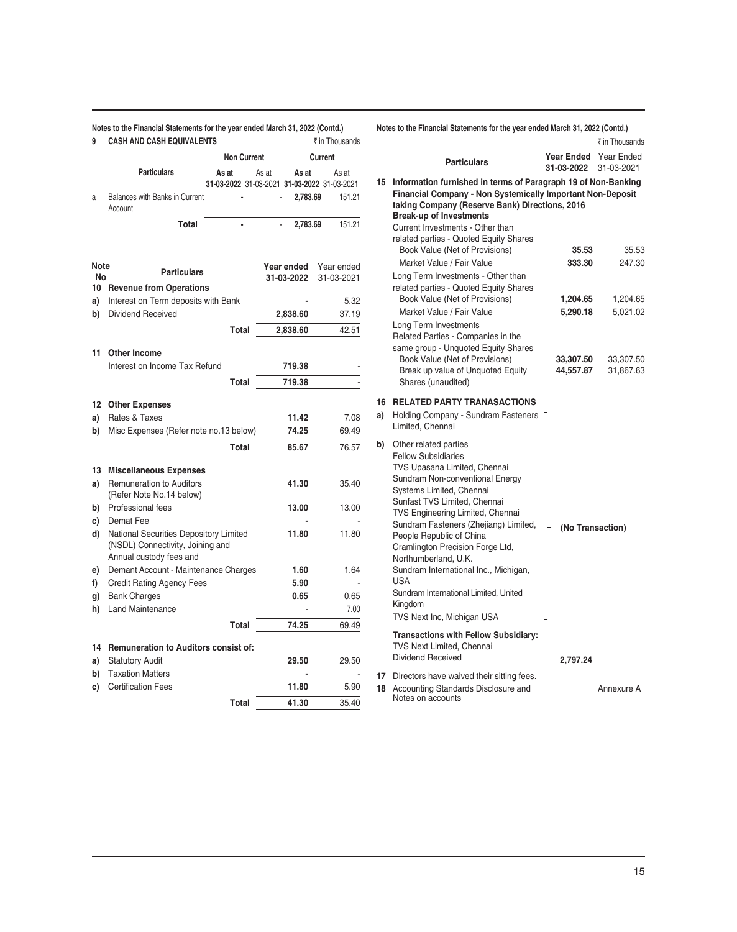| 9                        | Notes to the Financial Statements for the year ended March 31, 2022 (Contd.)<br><b>CASH AND CASH EQUIVALENTS</b> |                    |                                                               | ₹ in Thousands           |
|--------------------------|------------------------------------------------------------------------------------------------------------------|--------------------|---------------------------------------------------------------|--------------------------|
|                          |                                                                                                                  | <b>Non Current</b> |                                                               | Current                  |
|                          | <b>Particulars</b>                                                                                               | As at              | As at<br>As at<br>31-03-2022 31-03-2021 31-03-2022 31-03-2021 | As at                    |
| a                        | Balances with Banks in Current<br>Account                                                                        |                    | 2,783.69<br>L,                                                | 151.21                   |
|                          | Total                                                                                                            | ä,                 | 2,783.69<br>L                                                 | 151.21                   |
|                          |                                                                                                                  |                    |                                                               |                          |
| <b>Note</b><br><b>No</b> | <b>Particulars</b>                                                                                               |                    | Year ended<br>31-03-2022                                      | Year ended<br>31-03-2021 |
| 10                       | <b>Revenue from Operations</b>                                                                                   |                    |                                                               |                          |
| a)                       | Interest on Term deposits with Bank                                                                              |                    |                                                               | 5.32                     |
| b)                       | Dividend Received                                                                                                |                    | 2,838.60                                                      | 37.19                    |
|                          |                                                                                                                  | Total              | 2,838.60                                                      | 42.51                    |
| 11                       |                                                                                                                  |                    |                                                               |                          |
|                          | <b>Other Income</b><br>Interest on Income Tax Refund                                                             |                    | 719.38                                                        |                          |
|                          |                                                                                                                  |                    |                                                               |                          |
|                          |                                                                                                                  | Total              | 719.38                                                        |                          |
| 12                       | <b>Other Expenses</b>                                                                                            |                    |                                                               |                          |
| a)                       | Rates & Taxes                                                                                                    |                    | 11.42                                                         | 7.08                     |
| b)                       | Misc Expenses (Refer note no.13 below)                                                                           |                    | 74.25                                                         | 69.49                    |
|                          |                                                                                                                  | Total              | 85.67                                                         | 76.57                    |
|                          |                                                                                                                  |                    |                                                               |                          |
| 13<br>a)                 | <b>Miscellaneous Expenses</b><br><b>Remuneration to Auditors</b>                                                 |                    | 41.30                                                         | 35.40                    |
|                          | (Refer Note No.14 below)                                                                                         |                    |                                                               |                          |
| b)                       | Professional fees                                                                                                |                    | 13.00                                                         | 13.00                    |
| c)                       | Demat Fee                                                                                                        |                    |                                                               |                          |
| d)                       | National Securities Depository Limited<br>(NSDL) Connectivity, Joining and<br>Annual custody fees and            |                    | 11.80                                                         | 11.80                    |
| e)                       | Demant Account - Maintenance Charges                                                                             |                    | 1.60                                                          | 1.64                     |
| f)                       | <b>Credit Rating Agency Fees</b>                                                                                 |                    | 5.90                                                          |                          |
| g)                       | <b>Bank Charges</b>                                                                                              |                    | 0.65                                                          | 0.65                     |
| h)                       | <b>Land Maintenance</b>                                                                                          |                    |                                                               | 7.00                     |
|                          |                                                                                                                  | Total              | 74.25                                                         | 69.49                    |
| 14                       | Remuneration to Auditors consist of:                                                                             |                    |                                                               |                          |
| a)                       | <b>Statutory Audit</b>                                                                                           |                    | 29.50                                                         | 29.50                    |
| b)                       | <b>Taxation Matters</b>                                                                                          |                    |                                                               |                          |
| c)                       | <b>Certification Fees</b>                                                                                        |                    | 11.80                                                         | 5.90                     |
|                          |                                                                                                                  | Total              | 41.30                                                         | 35.40                    |

**Notes to the Financial Statements for the year ended March 31, 2022 (Contd.)** 

|          |                                                                                                                                                                                                                                                                                                                                                                                                                                                                                                  |                                                | ₹ in Thousands                                 |
|----------|--------------------------------------------------------------------------------------------------------------------------------------------------------------------------------------------------------------------------------------------------------------------------------------------------------------------------------------------------------------------------------------------------------------------------------------------------------------------------------------------------|------------------------------------------------|------------------------------------------------|
|          | <b>Particulars</b>                                                                                                                                                                                                                                                                                                                                                                                                                                                                               | Year Ended<br>31-03-2022                       | Year Ended<br>31-03-2021                       |
| 15       | Information furnished in terms of Paragraph 19 of Non-Banking<br>Financial Company - Non Systemically Important Non-Deposit<br>taking Company (Reserve Bank) Directions, 2016<br><b>Break-up of Investments</b><br>Current Investments - Other than                                                                                                                                                                                                                                              |                                                |                                                |
|          | related parties - Quoted Equity Shares<br>Book Value (Net of Provisions)<br>Market Value / Fair Value                                                                                                                                                                                                                                                                                                                                                                                            | 35.53<br>333.30                                | 35.53<br>247.30                                |
|          | Long Term Investments - Other than<br>related parties - Quoted Equity Shares<br>Book Value (Net of Provisions)<br>Market Value / Fair Value<br>Long Term Investments<br>Related Parties - Companies in the<br>same group - Unquoted Equity Shares<br>Book Value (Net of Provisions)<br>Break up value of Unguoted Equity<br>Shares (unaudited)                                                                                                                                                   | 1,204.65<br>5,290.18<br>33,307.50<br>44,557.87 | 1,204.65<br>5,021.02<br>33,307.50<br>31,867.63 |
| 16<br>a) | <b>RELATED PARTY TRANASACTIONS</b><br>Holding Company - Sundram Fasteners<br>Limited, Chennai                                                                                                                                                                                                                                                                                                                                                                                                    |                                                |                                                |
| b)       | Other related parties<br><b>Fellow Subsidiaries</b><br>TVS Upasana Limited, Chennai<br>Sundram Non-conventional Energy<br>Systems Limited, Chennai<br>Sunfast TVS Limited, Chennai<br>TVS Engineering Limited, Chennai<br>Sundram Fasteners (Zhejiang) Limited,<br>People Republic of China<br>Cramlington Precision Forge Ltd,<br>Northumberland, U.K.<br>Sundram International Inc., Michigan,<br><b>USA</b><br>Sundram International Limited, United<br>Kingdom<br>TVS Next Inc, Michigan USA | (No Transaction)                               |                                                |
|          | <b>Transactions with Fellow Subsidiary:</b><br>TVS Next Limited, Chennai<br>Dividend Received                                                                                                                                                                                                                                                                                                                                                                                                    | 2,797.24                                       |                                                |
| 17<br>18 | Directors have waived their sitting fees.<br>Accounting Standards Disclosure and<br>Notes on accounts                                                                                                                                                                                                                                                                                                                                                                                            |                                                | Annexure A                                     |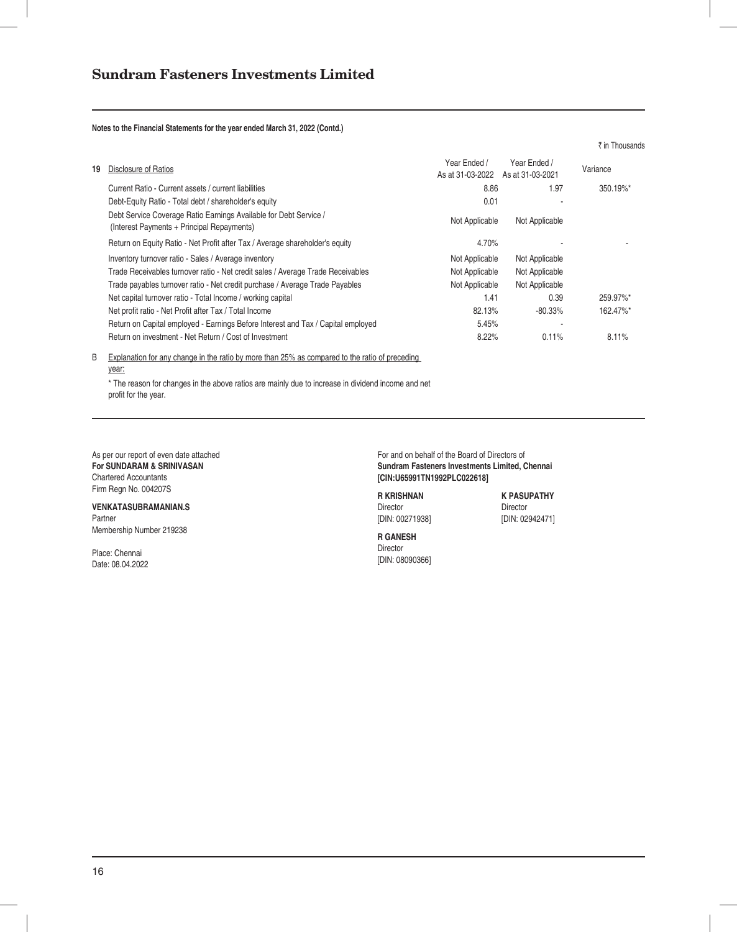# **Notes to the Financial Statements for the year ended March 31, 2022 (Contd.)**

|    |                                                                                                                            |                                                   |                | ₹ in Thousands |
|----|----------------------------------------------------------------------------------------------------------------------------|---------------------------------------------------|----------------|----------------|
| 19 | Disclosure of Ratios                                                                                                       | Year Ended /<br>As at 31-03-2022 As at 31-03-2021 | Year Ended /   | Variance       |
|    | Current Ratio - Current assets / current liabilities                                                                       | 8.86                                              | 1.97           | 350.19%*       |
|    | Debt-Equity Ratio - Total debt / shareholder's equity                                                                      | 0.01                                              |                |                |
|    | Debt Service Coverage Ratio Earnings Available for Debt Service /<br>(Interest Payments + Principal Repayments)            | Not Applicable                                    | Not Applicable |                |
|    | Return on Equity Ratio - Net Profit after Tax / Average shareholder's equity                                               | 4.70%                                             |                |                |
|    | Inventory turnover ratio - Sales / Average inventory                                                                       | Not Applicable                                    | Not Applicable |                |
|    | Trade Receivables turnover ratio - Net credit sales / Average Trade Receivables                                            | Not Applicable                                    | Not Applicable |                |
|    | Trade payables turnover ratio - Net credit purchase / Average Trade Payables                                               | Not Applicable                                    | Not Applicable |                |
|    | Net capital turnover ratio - Total Income / working capital                                                                | 1.41                                              | 0.39           | 259.97%*       |
|    | Net profit ratio - Net Profit after Tax / Total Income                                                                     | 82.13%                                            | $-80.33\%$     | 162.47%*       |
|    | Return on Capital employed - Earnings Before Interest and Tax / Capital employed                                           | 5.45%                                             |                |                |
|    | Return on investment - Net Return / Cost of Investment                                                                     | 8.22%                                             | 0.11%          | 8.11%          |
| B  | Explanation for any change in the ratio by more than 25% as compared to the ratio of preceding<br>year:                    |                                                   |                |                |
|    | * The reason for changes in the above ratios are mainly due to increase in dividend income and net<br>profit for the year. |                                                   |                |                |

As per our report of even date attached **For SUNDARAM & SRINIVASAN**

Chartered Accountants Firm Regn No. 004207S

# **VENKATASUBRAMANIAN.S** Partner Membership Number 219238

Place: Chennai Date: 08.04.2022

For and on behalf of the Board of Directors of **Sundram Fasteners Investments Limited, Chennai [CIN:U65991TN1992PLC022618]**

Director [DIN: 00271938] [DIN: 02942471]

**R KRISHNAN K PASUPATHY**<br>Director Director

**R GANESH**  Director [DIN: 08090366]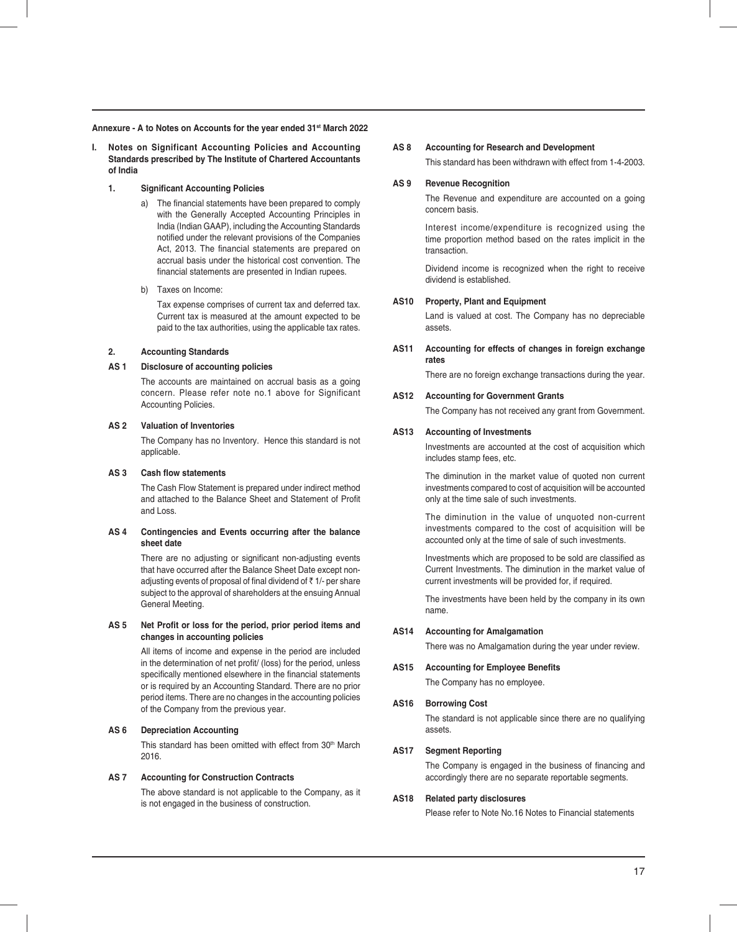#### **Annexure - A to Notes on Accounts for the year ended 31st March 2022**

- **I. Notes on Significant Accounting Policies and Accounting Standards prescribed by The Institute of Chartered Accountants of India**
	- 1. Significant Accounting Policies
		- a) The financial statements have been prepared to comply with the Generally Accepted Accounting Principles in India (Indian GAAP), including the Accounting Standards notified under the relevant provisions of the Companies Act, 2013. The financial statements are prepared on accrual basis under the historical cost convention. The financial statements are presented in Indian rupees.
		- b) Taxes on Income:

 Tax expense comprises of current tax and deferred tax. Current tax is measured at the amount expected to be paid to the tax authorities, using the applicable tax rates.

# **2. Accounting Standards**

# **AS 1 Disclosure of accounting policies**

 The accounts are maintained on accrual basis as a going concern. Please refer note no.1 above for Significant Accounting Policies.

#### **AS 2 Valuation of Inventories**

 The Company has no Inventory. Hence this standard is not applicable.

# **AS 3** Cash flow statements

 The Cash Flow Statement is prepared under indirect method and attached to the Balance Sheet and Statement of Profit and Loss.

#### **AS 4 Contingencies and Events occurring after the balance sheet date**

There are no adjusting or significant non-adjusting events that have occurred after the Balance Sheet Date except nonadjusting events of proposal of final dividend of  $\bar{z}$  1/- per share subject to the approval of shareholders at the ensuing Annual General Meeting.

#### AS 5 Net Profit or loss for the period, prior period items and **changes in accounting policies**

 All items of income and expense in the period are included in the determination of net profit/ (loss) for the period, unless specifically mentioned elsewhere in the financial statements or is required by an Accounting Standard. There are no prior period items. There are no changes in the accounting policies of the Company from the previous year.

# **AS 6 Depreciation Accounting**

This standard has been omitted with effect from 30<sup>th</sup> March 2016.

# **AS 7 Accounting for Construction Contracts**

 The above standard is not applicable to the Company, as it is not engaged in the business of construction.

#### **AS 8 Accounting for Research and Development**

This standard has been withdrawn with effect from 1-4-2003.

# **AS 9 Revenue Recognition**

 The Revenue and expenditure are accounted on a going concern basis.

 Interest income/expenditure is recognized using the time proportion method based on the rates implicit in the transaction.

 Dividend income is recognized when the right to receive dividend is established.

#### **AS10 Property, Plant and Equipment**

 Land is valued at cost. The Company has no depreciable assets.

#### **AS11 Accounting for effects of changes in foreign exchange rates**

There are no foreign exchange transactions during the year.

# **AS12 Accounting for Government Grants**

The Company has not received any grant from Government.

#### **AS13 Accounting of Investments**

 Investments are accounted at the cost of acquisition which includes stamp fees, etc.

 The diminution in the market value of quoted non current investments compared to cost of acquisition will be accounted only at the time sale of such investments.

 The diminution in the value of unquoted non-current investments compared to the cost of acquisition will be accounted only at the time of sale of such investments.

Investments which are proposed to be sold are classified as Current Investments. The diminution in the market value of current investments will be provided for, if required.

 The investments have been held by the company in its own name.

# **AS14 Accounting for Amalgamation**

There was no Amalgamation during the year under review.

#### **AS15 Accounting for Employee Benefits**

The Company has no employee.

#### **AS16 Borrowing Cost**

 The standard is not applicable since there are no qualifying assets.

#### **AS17 Segment Reporting**

The Company is engaged in the business of financing and accordingly there are no separate reportable segments.

#### **AS18 Related party disclosures**

Please refer to Note No.16 Notes to Financial statements